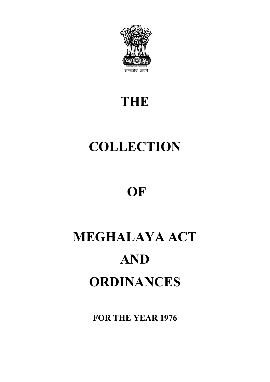

# **THE**

# **COLLECTION**

# **OF**

# **MEGHALAYA ACT AND ORDINANCES**

**FOR THE YEAR 1976**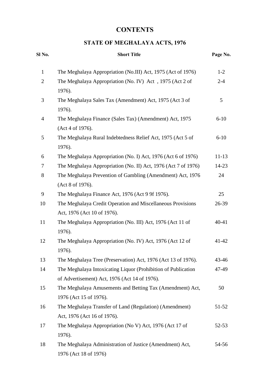# **CONTENTS**

# **STATE OF MEGHALAYA ACTS, 1976**

| Sl No.         | <b>Short Title</b>                                             | Page No.  |
|----------------|----------------------------------------------------------------|-----------|
| $\mathbf{1}$   | The Meghalaya Appropriation (No.III) Act, 1975 (Act of 1976)   | $1-2$     |
| $\overline{c}$ | The Meghalaya Appropriation (No. IV) Act, 1975 (Act 2 of       | $2 - 4$   |
|                | 1976).                                                         |           |
| 3              | The Meghalaya Sales Tax (Amendment) Act, 1975 (Act 3 of        | 5         |
|                | 1976).                                                         |           |
| 4              | The Meghalaya Finance (Sales Tax) (Amendment) Act, 1975        | $6-10$    |
|                | (Act 4 of 1976).                                               |           |
| 5              | The Meghalaya Rural Indebtedness Relief Act, 1975 (Act 5 of    | $6 - 10$  |
|                | 1976).                                                         |           |
| 6              | The Meghalaya Appropriation (No. I) Act, 1976 (Act 6 of 1976)  | $11 - 13$ |
| 7              | The Meghalaya Appropriation (No. II) Act, 1976 (Act 7 of 1976) | $14 - 23$ |
| 8              | The Meghalaya Prevention of Gambling (Amendment) Act, 1976     | 24        |
|                | (Act 8 of 1976).                                               |           |
| 9              | The Meghalaya Finance Act, 1976 (Act 9 9f 1976).               | 25        |
| 10             | The Meghalaya Credit Operation and Miscellaneous Provisions    | 26-39     |
|                | Act, 1976 (Act 10 of 1976).                                    |           |
| 11             | The Meghalaya Appropriation (No. III) Act, 1976 (Act 11 of     | 40-41     |
|                | 1976).                                                         |           |
| 12             | The Meghalaya Appropriation (No. IV) Act, 1976 (Act 12 of      | 41-42     |
|                | 1976).                                                         |           |
| 13             | The Meghalaya Tree (Preservation) Act, 1976 (Act 13 of 1976).  | 43-46     |
| 14             | The Meghalaya Intoxicating Liquor (Prohibition of Publication  | 47-49     |
|                | of Advertisement) Act, 1976 (Act 14 of 1976).                  |           |
| 15             | The Meghalaya Amusements and Betting Tax (Amendment) Act,      | 50        |
|                | 1976 (Act 15 of 1976).                                         |           |
| 16             | The Meghalaya Transfer of Land (Regulation) (Amendment)        | 51-52     |
|                | Act, 1976 (Act 16 of 1976).                                    |           |
| 17             | The Meghalaya Appropriation (No V) Act, 1976 (Act 17 of        | 52-53     |
|                | 1976).                                                         |           |
| 18             | The Meghalaya Administration of Justice (Amendment) Act,       | 54-56     |
|                | 1976 (Act 18 of 1976)                                          |           |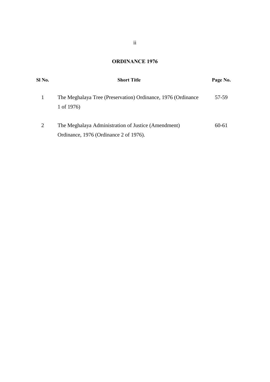# **ORDINANCE 1976**

| Sl No. | <b>Short Title</b>                                                                            | Page No. |
|--------|-----------------------------------------------------------------------------------------------|----------|
|        | The Meghalaya Tree (Preservation) Ordinance, 1976 (Ordinance<br>1 of 1976)                    | 57-59    |
| 2      | The Meghalaya Administration of Justice (Amendment)<br>Ordinance, 1976 (Ordinance 2 of 1976). | 60-61    |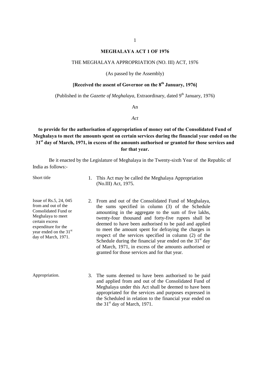#### **MEGHALAYA ACT 1 OF 1976**

#### THE MEGHALAYA APPROPRIATION (NO. III) ACT, 1976

(As passed by the Assembly)

### **[Received the assent of Governor on the 8<sup>th</sup> January, 1976]**

(Published in the *Gazette of Meghalaya*, Extraordinary, dated 9<sup>th</sup> January, 1976)

An

*Act*

# **to provide for the authorisation of appropriation of money out of the Consolidated Fund of Meghalaya to meet the amounts spent on certain services during the financial year ended on the 31st day of March, 1971, in excess of the amounts authorised or granted for those services and for that year.**

Be it enacted by the Legislature of Meghalaya in the Twenty-sixth Year of the Republic of India as follows:-

Short title 1. This Act may be called the Meghalaya Appropriation (No.III) Act, 1975.

- Issue of Rs.5, 24, 045 from and out of the Consolidated Fund or Meghalaya to meet certain excess expenditure for the year ended on the 31<sup>st</sup> day of March, 1971.
- 2. From and out of the Consolidated Fund of Meghalaya, the sums specified in column (3) of the Schedule amounting in the aggregate to the sum of five lakhs, twenty-four thousand and forty-five rupees shall be deemed to have been authorised to be paid and applied to meet the amount spent for defraying the charges in respect of the services specified in column (2) of the Schedule during the financial year ended on the  $31<sup>st</sup>$  day of March, 1971, in excess of the amounts authorised or granted for those services and for that year.
- Appropriation. 3. The sums deemed to have been authorised to be paid and applied from and out of the Consolidated Fund of Meghalaya under this Act shall be deemed to have been appropriated for the services and purposes expressed in the Scheduled in relation to the financial year ended on the  $31<sup>st</sup>$  day of March, 1971.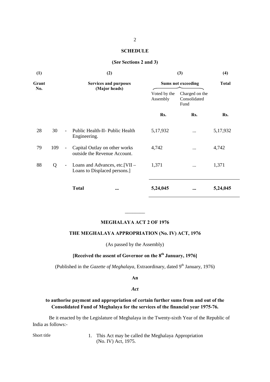#### **SCHEDULE**

#### **(***See* **Sections 2 and 3)**

| (1)   |     |                          | (2)                                                             | (3)                       | (4)                                    |          |
|-------|-----|--------------------------|-----------------------------------------------------------------|---------------------------|----------------------------------------|----------|
| Grant |     |                          | <b>Services and purposes</b>                                    | <b>Sums not exceeding</b> | <b>Total</b>                           |          |
| No.   |     |                          | (Major heads)                                                   | Voted by the<br>Assembly  | Charged on the<br>Consolidated<br>Fund |          |
|       |     |                          |                                                                 | Rs.                       | Rs.                                    | Rs.      |
| 28    | 30  |                          | Public Health-II- Public Health<br>Engineering.                 | 5,17,932                  | $\cdots$                               | 5,17,932 |
| 79    | 109 | $\overline{\phantom{a}}$ | Capital Outlay on other works<br>outside the Revenue Account.   | 4,742                     |                                        | 4,742    |
| 88    | Q   | $\overline{\phantom{a}}$ | Loans and Advances, etc. [VII –<br>Loans to Displaced persons.] | 1,371                     | $\cdots$                               | 1,371    |
|       |     |                          | <b>Total</b><br>$\bullet\bullet\bullet$                         | 5,24,045                  | $\bullet\bullet\bullet$                | 5,24,045 |

#### **MEGHALAYA ACT 2 OF 1976**

 $\overline{\phantom{a}}$ 

#### **THE MEGHALAYA APPROPRIATION (No. IV) ACT, 1976**

(As passed by the Assembly)

# **[Received the assent of Governor on the 8th January, 1976]**

(Published in the *Gazette of Meghalaya*, Extraordinary, dated 9<sup>th</sup> January, 1976)

#### **An**

#### *Act*

#### **to authorise payment and appropriation of certain further sums from and out of the Consolidated Fund of Meghalaya for the services of the financial year 1975-76.**

Be it enacted by the Legislature of Meghalaya in the Twenty-sixth Year of the Republic of India as follows:-

Short title 1. This Act may be called the Meghalaya Appropriation (No. IV) Act, 1975.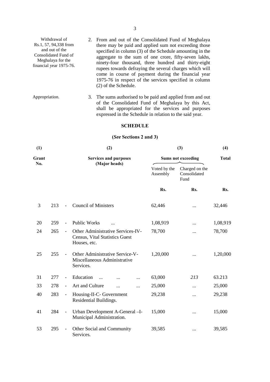| Withdrawal of<br>Rs.1, 57, 94,338 from<br>and out of the<br>Consolidated Fund of<br>Meghalaya for the<br>financial year 1975-76. |  | 2. From and out of the Consolidated Fund of Meghalaya<br>there may be paid and applied sum not exceeding those<br>specified in column (3) of the Schedule amounting in the<br>aggregate to the sum of one crore, fifty-seven lakhs,<br>ninety-four thousand, three hundred and thirty-eight<br>rupees towards defraying the several charges which will<br>come in course of payment during the financial year<br>1975-76 in respect of the services specified in column<br>(2) of the Schedule. |
|----------------------------------------------------------------------------------------------------------------------------------|--|-------------------------------------------------------------------------------------------------------------------------------------------------------------------------------------------------------------------------------------------------------------------------------------------------------------------------------------------------------------------------------------------------------------------------------------------------------------------------------------------------|
|----------------------------------------------------------------------------------------------------------------------------------|--|-------------------------------------------------------------------------------------------------------------------------------------------------------------------------------------------------------------------------------------------------------------------------------------------------------------------------------------------------------------------------------------------------------------------------------------------------------------------------------------------------|

Appropriation. 3. The sums authorised to be paid and applied from and out of the Consolidated Fund of Meghalaya by this Act, shall be appropriated for the services and purposes expressed in the Schedule in relation to the said year.

#### **SCHEDULE**

# **(***See* **Sections 2 and 3)**

| (1)   |     |                          | (2)                                                                                 | (3)                       | (4)                                    |          |
|-------|-----|--------------------------|-------------------------------------------------------------------------------------|---------------------------|----------------------------------------|----------|
| Grant |     |                          | <b>Services and purposes</b>                                                        | <b>Sums not exceeding</b> | <b>Total</b>                           |          |
| No.   |     |                          | (Major heads)                                                                       | Voted by the<br>Assembly  | Charged on the<br>Consolidated<br>Fund |          |
|       |     |                          |                                                                                     | Rs.                       | Rs.                                    | Rs.      |
| 3     | 213 |                          | <b>Council of Ministers</b>                                                         | 62,446                    |                                        | 32,446   |
| 20    | 259 | $\overline{\phantom{a}}$ | <b>Public Works</b>                                                                 | 1,08,919                  |                                        | 1,08,919 |
| 24    | 265 | $\blacksquare$           | Other Administrative Services-IV-<br>Census, Vital Statistics Guest<br>Houses, etc. | 78,700                    |                                        | 78,700   |
| 25    | 255 | $\overline{\phantom{a}}$ | Other Administrative Service-V-<br>Miscellaneous Administrative<br>Services.        | 1,20,000                  |                                        | 1,20,000 |
| 31    | 277 | $\overline{\phantom{a}}$ | Education                                                                           | 63,000                    | 213                                    | 63.213   |
| 33    | 278 | $\blacksquare$           | Art and Culture<br><br>$\ddotsc$                                                    | 25,000                    |                                        | 25,000   |
| 40    | 283 | $\overline{\phantom{a}}$ | Housing-II-C- Government<br>Residential Buildings.                                  | 29,238                    |                                        | 29,238   |
| 41    | 284 | $\overline{\phantom{a}}$ | Urban Development A-General - I-<br>Municipal Administration.                       | 15,000                    |                                        | 15,000   |
| 53    | 295 |                          | Other Social and Community<br>Services.                                             | 39,585                    |                                        | 39,585   |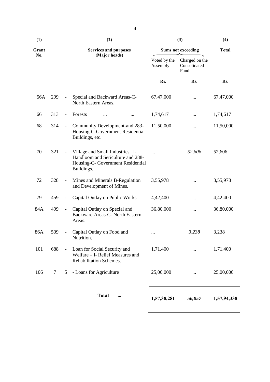| (1)   |     |                              | (2)                                                                                                                       | (3)                      | (4)                                    |              |
|-------|-----|------------------------------|---------------------------------------------------------------------------------------------------------------------------|--------------------------|----------------------------------------|--------------|
| Grant |     | <b>Services and purposes</b> |                                                                                                                           |                          | <b>Sums not exceeding</b>              | <b>Total</b> |
| No.   |     |                              | (Major heads)                                                                                                             | Voted by the<br>Assembly | Charged on the<br>Consolidated<br>Fund |              |
|       |     |                              |                                                                                                                           | Rs.                      | Rs.                                    | Rs.          |
| 56A   | 299 | $\blacksquare$               | Special and Backward Areas-C-<br>North Eastern Areas.                                                                     | 67,47,000                |                                        | 67,47,000    |
| 66    | 313 | $\qquad \qquad \blacksquare$ | Forests                                                                                                                   | 1,74,617                 |                                        | 1,74,617     |
| 68    | 314 | $\overline{\phantom{a}}$     | Community Development-and 283-<br>Housing-C-Government Residential<br>Buildings, etc.                                     | 11,50,000                |                                        | 11,50,000    |
| 70    | 321 | $\blacksquare$               | Village and Small Industries - I-<br>Handloom and Sericulture and 288-<br>Housing-C- Government Residential<br>Buildings. |                          | 52,606                                 | 52,606       |
| 72    | 328 | $\blacksquare$               | Mines and Minerals B-Regulation<br>and Development of Mines.                                                              | 3,55,978                 |                                        | 3,55,978     |
| 79    | 459 | $\qquad \qquad -$            | Capital Outlay on Public Works.                                                                                           | 4,42,400                 |                                        | 4,42,400     |
| 84A   | 499 | $\overline{\phantom{a}}$     | Capital Outlay on Special and<br>Backward Areas-C- North Eastern<br>Areas.                                                | 36,80,000                |                                        | 36,80,000    |
| 86A   | 509 | $\qquad \qquad \blacksquare$ | Capital Outlay on Food and<br>Nutrition.                                                                                  |                          | 3,238                                  | 3,238        |
| 101   | 688 |                              | Loan for Social Security and<br>Welfare - I- Relief Measures and<br>Rehabilitation Schemes.                               | 1,71,400                 |                                        | 1,71,400     |
| 106   | 7   | 5                            | - Loans for Agriculture                                                                                                   | 25,00,000                |                                        | 25,00,000    |
|       |     |                              | <b>Total</b>                                                                                                              | 1,57,38,281              | 56,057                                 | 1,57,94,338  |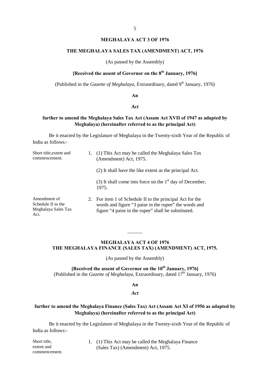#### **MEGHALAYA ACT 3 OF 1976**

#### **THE MEGHALAYA SALES TAX (AMENDMENT) ACT, 1976**

(As passed by the Assembly)

### **[Received the assent of Governor on the 8th January, 1976]**

(Published in the *Gazette of Meghalaya*, Extraordinary, dated 9<sup>th</sup> January, 1976)

**An**

#### *Act*

# **further to amend the Meghalaya Sales Tax Act (Assam Act XVII of 1947 as adapted by Meghalaya) (hereinafter referred to as the principal Act)**

Be it enacted by the Legislature of Meghalaya in the Twenty-sixth Year of the Republic of India as follows:-

| Short title, extent and<br>commencement.                          |    | (1) This Act may be called the Meghalaya Sales Tax<br>(Amendment) Act, 1975.                                                                                           |  |  |
|-------------------------------------------------------------------|----|------------------------------------------------------------------------------------------------------------------------------------------------------------------------|--|--|
|                                                                   |    | (2) It shall have the like extent as the principal Act.                                                                                                                |  |  |
|                                                                   |    | (3) It shall come into force on the $1st$ day of December,<br>1975.                                                                                                    |  |  |
| Amendment of<br>Schedule II to the<br>Meghalaya Sales Tax<br>Act. | 2. | For item 1 of Schedule II to the principal Act for the<br>words and figure "3 paise in the rupee" the words and<br>figure "4 paise in the rupee" shall be substituted. |  |  |

#### **MEGHALAYA ACT 4 OF 1976 THE MEGHALAYA FINANCE (SALES TAX) (AMENDMENT) ACT, 1975.**

 $\overline{\phantom{a}}$ 

(As passed by the Assembly)

#### **[Received the assent of Governor on the 10<sup>th</sup> January, 1976]** (Published in the *Gazette of Meghalaya*, Extraordinary, dated 17<sup>th</sup> January, 1976)

**An**

#### *Act*

#### **further to amend the Meghalaya Finance (Sales Tax) Act (Assam Act XI of 1956 as adapted by Meghalaya) (hereinafter referred to as the principal Act)**

Be it enacted by the Legislature of Meghalaya in the Twenty-sixth Year of the Republic of India as follows:-

| Short title,  | 1. (1) This Act may be called the Meghalaya Finance |
|---------------|-----------------------------------------------------|
| extent and    | (Sales Tax) (Amendment) Act. 1975.                  |
| commencement. |                                                     |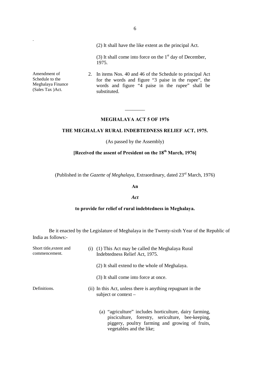|                                                                          | (2) It shall have the like extent as the principal Act.                                                                                                                                 |  |  |  |
|--------------------------------------------------------------------------|-----------------------------------------------------------------------------------------------------------------------------------------------------------------------------------------|--|--|--|
|                                                                          | (3) It shall come into force on the $1st$ day of December,<br>1975.                                                                                                                     |  |  |  |
| Amendment of<br>Schedule to the<br>Meghalaya Finance<br>(Sales Tax) Act. | 2. In items Nos. 40 and 46 of the Schedule to principal Act<br>for the words and figure "3 paise in the rupee", the<br>words and figure "4 paise in the rupee" shall be<br>substituted. |  |  |  |

.

#### **MEGHALAYA ACT 5 OF 1976**

 $\overline{\phantom{a}}$ 

#### **THE MEGHALAY RURAL INDEBTEDNESS RELIEF ACT, 1975.**

(As passed by the Assembly)

# **[Received the assent of President on the 18th March, 1976]**

(Published in the *Gazette of Meghalaya*, Extraordinary, dated 23rd March, 1976)

#### **An**

#### *Act*

# **to provide for relief of rural indebtedness in Meghalaya.**

Be it enacted by the Legislature of Meghalaya in the Twenty-sixth Year of the Republic of India as follows:-

| Short title, extent and<br>commencement. | (i) (1) This Act may be called the Meghalaya Rural<br>Indebtedness Relief Act, 1975.                                                                                                        |
|------------------------------------------|---------------------------------------------------------------------------------------------------------------------------------------------------------------------------------------------|
|                                          | (2) It shall extend to the whole of Meghalaya.                                                                                                                                              |
|                                          | (3) It shall come into force at once.                                                                                                                                                       |
| Definitions.                             | (ii) In this Act, unless there is anything repugnant in the<br>subject or context $-$                                                                                                       |
|                                          | (a) "agriculture" includes horticulture, dairy farming,<br>pisciculture, forestry, sericulture, bee-keeping,<br>piggery, poultry farming and growing of fruits,<br>vegetables and the like; |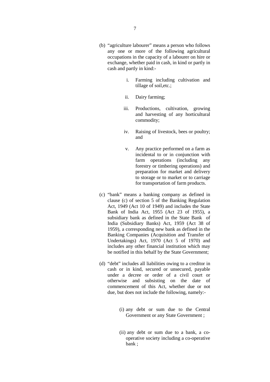- (b) "agriculture labourer" means a person who follows any one or more of the following agricultural occupations in the capacity of a labourer on hire or exchange, whether paid in cash, in kind or partly in cash and partly in kind:
	- i. Farming including cultivation and tillage of soil,etc.;
	- ii. Dairy farming;
	- iii. Productions, cultivation, growing and harvesting of any horticultural commodity;
	- iv. Raising of livestock, bees or poultry; and
	- v. Any practice performed on a farm as incidental to or in conjunction with farm operations (including any forestry or timbering operations) and preparation for market and delivery to storage or to market or to carriage for transportation of farm products.
- (c) "bank" means a banking company as defined in clause (c) of section 5 of the Banking Regulation Act, 1949 (Act 10 of 1949) and includes the State Bank of India Act, 1955 (Act 23 of 1955), a subsidiary bank as defined in the State Bank of India (Subsidiary Banks) Act, 1959 (Act 38 of 1959), a corresponding new bank as defined in the Banking Companies (Acquisition and Transfer of Undertakings) Act, 1970 (Act 5 of 1970) and includes any other financial institution which may be notified in this behalf by the State Government;
- (d) "debt" includes all liabilities owing to a creditor in cash or in kind, secured or unsecured, payable under a decree or order of a civil court or otherwise and subsisting on the date of commencement of this Act, whether due or not due, but does not include the following, namely:-
	- (i) any debt or sum due to the Central Government or any State Government ;
	- (ii) any debt or sum due to a bank, a cooperative society including a co-operative bank ;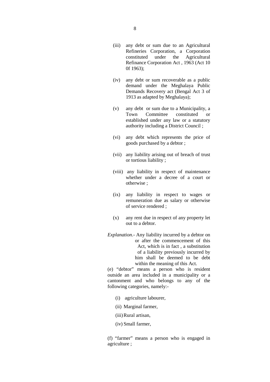- (iii) any debt or sum due to an Agricultural Refineries Corporation, a Corporation constituted under the Agricultural Refinance Corporation Act , 1963 (Act 10 0f 1963);
- (iv) any debt or sum recoverable as a public demand under the Meghalaya Public Demands Recovery act (Bengal Act 3 of 1913 as adapted by Meghalaya);
- (v) any debt or sum due to a Municipality, a Town Committee constituted or established under any law or a statutory authority including a District Council ;
- (vi) any debt which represents the price of goods purchased by a debtor ;
- (vii) any liability arising out of breach of trust or tortious liability ;
- (viii) any liability in respect of maintenance whether under a decree of a court or otherwise ;
- (ix) any liability in respect to wages or remuneration due as salary or otherwise of service rendered ;
- (x) any rent due in respect of any property let out to a debtor.

*Explanation*.- Any liability incurred by a debtor on or after the commencement of this Act, which is in fact , a substitution of a liability previously incurred by him shall be deemed to be debt within the meaning of this Act.

(e) "debtor" means a person who is resident outside an area included in a municipality or a cantonment and who belongs to any of the following categories, namely:-

- (i) agriculture labourer,
- (ii) Marginal farmer,
- (iii)Rural artisan,
- (iv) Small farmer,

(f) "farmer" means a person who is engaged in agriculture ;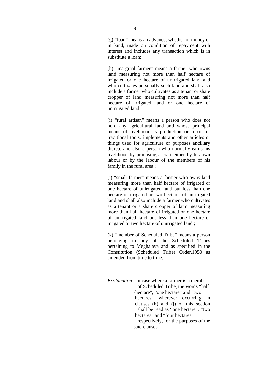(g) "loan" means an advance, whether of money or in kind, made on condition of repayment with interest and includes any transaction which is in substitute a loan;

(h) "marginal farmer" means a farmer who owns land measuring not more than half hectare of irrigated or one hectare of unirrigated land and who cultivates personally such land and shall also include a farmer who cultivates as a tenant or share cropper of land measuring not more than half hectare of irrigated land or one hectare of unirrigated land ;

(i) "rural artisan" means a person who does not hold any agricultural land and whose principal means of livelihood is production or repair of traditional tools, implements and other articles or things used for agriculture or purposes ancillary thereto and also a person who normally earns his livelihood by practising a craft either by his own labour or by the labour of the members of his family in the rural area ;

(j) "small farmer" means a farmer who owns land measuring more than half hectare of irrigated or one hectare of unirrigated land but less than one hectare of irrigated or two hectares of unirrigated land and shall also include a farmer who cultivates as a tenant or a share cropper of land measuring more than half hectare of irrigated or one hectare of unirrigated land but less than one hectare of irrigated or two hectare of unirrigated land ;

(k) "member of Scheduled Tribe" means a person belonging to any of the Scheduled Tribes pertaining to Meghalaya and as specified in the Constitution (Scheduled Tribe) Order,1950 as amended from time to time.

*Explanation*:- In case where a farmer is a member of Scheduled Tribe, the words "half -hectare", "one hectare" and "two hectares" wherever occurring in clauses (h) and (j) of this section shall be read as "one hectare", "two hectares" and "four hectares" respectively, for the purposes of the said clauses.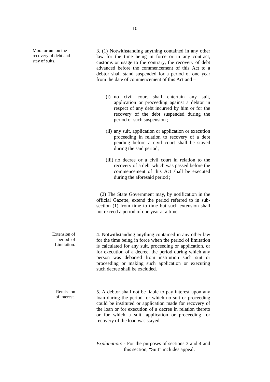Moratorium on the recovery of debt and stay of suits.

3. (1) Notwithstanding anything contained in any other law for the time being in force or in any contract, customs or usage to the contrary, the recovery of debt advanced before the commencement of this Act to a debtor shall stand suspended for a period of one year from the date of commencement of this Act and –

- (i) no civil court shall entertain any suit, application or proceeding against a debtor in respect of any debt incurred by him or for the recovery of the debt suspended during the period of such suspension ;
- (ii) any suit, application or application or execution proceeding in relation to recovery of a debt pending before a civil court shall be stayed during the said period;
- (iii) no decree or a civil court in relation to the recovery of a debt which was passed before the commencement of this Act shall be executed during the aforesaid period ;

 (2) The State Government may, by notification in the official Gazette, extend the period referred to in subsection (1) from time to time but such extension shall not exceed a period of one year at a time.

 Extension of period of Limitation. 4. Notwithstanding anything contained in any other law for the time being in force when the period of limitation is calculated for any suit, proceeding or application, or for execution of a decree, the period during which any person was debarred from institution such suit or proceeding or making such application or executing such decree shall be excluded.

Remission of interest. 5. A debtor shall not be liable to pay interest upon any loan during the period for which no suit or proceeding could be instituted or application made for recovery of the loan or for execution of a decree in relation thereto or for which a suit, application or proceeding for recovery of the loan was stayed.

> *Explanation*: - For the purposes of sections 3 and 4 and this section, "Suit" includes appeal.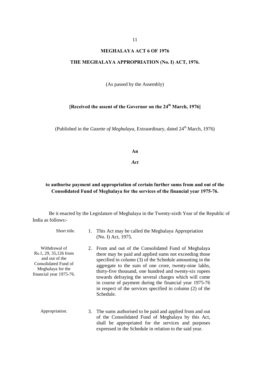#### **MEGHALAYA ACT 6 OF 1976**

#### **THE MEGHALAYA APPROPRIATION (No. I) ACT, 1976.**

(As passed by the Assembly)

# **[Received the assent of the Governor on the 24th March, 1976]**

(Published in the *Gazette of Meghalaya*, Extraordinary, dated 24<sup>th</sup> March, 1976)

**An**

*Act*

### **to authorise payment and appropriation of certain further sums from and out of the Consolidated Fund of Meghalaya for the services of the financial year 1975-76.**

Be it enacted by the Legislature of Meghalaya in the Twenty-sixth Year of the Republic of India as follows:-

| Short title.                                                                                                                      |    | This Act may be called the Meghalaya Appropriation<br>(No. I) Act, 1975.                                                                                                                                                                                                                                                                                                                                                                                                                  |
|-----------------------------------------------------------------------------------------------------------------------------------|----|-------------------------------------------------------------------------------------------------------------------------------------------------------------------------------------------------------------------------------------------------------------------------------------------------------------------------------------------------------------------------------------------------------------------------------------------------------------------------------------------|
| Withdrawal of<br>Rs.1, 29, 35, 126 from<br>and out of the<br>Consolidated Fund of<br>Meghalaya for the<br>financial year 1975-76. | 2. | From and out of the Consolidated Fund of Meghalaya<br>there may be paid and applied sums not exceeding those<br>specified in column (3) of the Schedule amounting in the<br>aggregate to the sum of one crore, twenty-nine lakhs,<br>thirty-five thousand, one hundred and twenty-six rupees<br>towards defraying the several charges which will come<br>in course of payment during the financial year 1975-76<br>in respect of the services specified in column (2) of the<br>Schedule. |
| Appropriation.                                                                                                                    |    | 3. The sums authorised to be paid and applied from and out<br>of the Consolidated Fund of Meghalaya by this Act,<br>shall be appropriated for the services and purposes<br>expressed in the Schedule in relation to the said year.                                                                                                                                                                                                                                                        |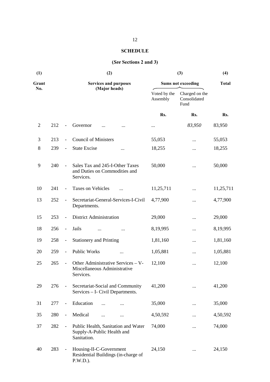# **SCHEDULE**

# **(***See* **Sections 2 and 3)**

| (1)            |     |                          | (2)                                                                              | (3)                       | (4)                                    |           |
|----------------|-----|--------------------------|----------------------------------------------------------------------------------|---------------------------|----------------------------------------|-----------|
| Grant          |     |                          | <b>Services and purposes</b>                                                     | <b>Sums not exceeding</b> | <b>Total</b>                           |           |
| No.            |     |                          | (Major heads)                                                                    | Voted by the<br>Assembly  | Charged on the<br>Consolidated<br>Fund |           |
|                |     |                          |                                                                                  | Rs.                       | Rs.                                    | Rs.       |
| $\overline{2}$ | 212 |                          | Governor                                                                         |                           | 83,950                                 | 83,950    |
| 3              | 213 | $\frac{1}{2}$            | <b>Council of Ministers</b>                                                      | 55,053                    | $\cdots$                               | 55,053    |
| 8              | 239 | $\overline{\phantom{a}}$ | <b>State Excise</b><br>                                                          | 18,255                    |                                        | 18,255    |
| 9              | 240 |                          | Sales Tax and 245-I-Other Taxes<br>and Duties on Commodities and<br>Services.    | 50,000                    |                                        | 50,000    |
| 10             | 241 | $\overline{\phantom{a}}$ | Taxes on Vehicles                                                                | 11,25,711                 |                                        | 11,25,711 |
| 13             | 252 | $\overline{\phantom{a}}$ | Secretariat-General-Services-I-Civil<br>Departments.                             | 4,77,900                  |                                        | 4,77,900  |
| 15             | 253 | $\overline{\phantom{a}}$ | <b>District Administration</b>                                                   | 29,000                    |                                        | 29,000    |
| 18             | 256 | $\overline{\phantom{a}}$ | Jails                                                                            | 8, 19, 995                |                                        | 8,19,995  |
| 19             | 258 | $\overline{\phantom{a}}$ | <b>Stationery and Printing</b>                                                   | 1,81,160                  |                                        | 1,81,160  |
| 20             | 259 | $\blacksquare$           | Public Works                                                                     | 1,05,881                  |                                        | 1,05,881  |
| 25             | 265 | $\overline{\phantom{a}}$ | Other Administrative Services - V-<br>Miscellaneous Administrative<br>Services.  | 12,100                    |                                        | 12,100    |
| 29             | 276 |                          | Secretariat-Social and Community<br>Services - I- Civil Departments.             | 41,200                    |                                        | 41,200    |
| 31             | 277 | $\overline{\phantom{a}}$ | Education                                                                        | 35,000                    |                                        | 35,000    |
| 35             | 280 | $\overline{\phantom{a}}$ | Medical<br>$\cdots$<br>                                                          | 4,50,592                  |                                        | 4,50,592  |
| 37             | 282 |                          | Public Health, Sanitation and Water<br>Supply-A-Public Health and<br>Sanitation. | 74,000                    |                                        | 74,000    |
| 40             | 283 | $\overline{\phantom{0}}$ | Housing-II-C-Government<br>Residential Buildings (in-charge of<br>$P.W.D.$ ).    | 24,150                    |                                        | 24,150    |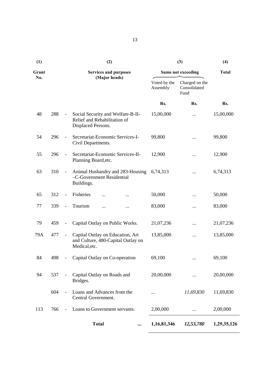| Grant |     |                              | <b>Services and purposes</b>                                                                         | <b>Sums not exceeding</b> | <b>Total</b>                           |           |
|-------|-----|------------------------------|------------------------------------------------------------------------------------------------------|---------------------------|----------------------------------------|-----------|
| No.   |     |                              | (Major heads)                                                                                        | Voted by the<br>Assembly  | Charged on the<br>Consolidated<br>Fund |           |
|       |     |                              |                                                                                                      | Rs.                       | Rs.                                    | Rs.       |
| 48    | 288 | $\overline{\phantom{a}}$     | Social Security and Welfare-B-II-<br>Relief and Rehabilitation of<br>Displaced Persons.              | 15,00,000                 | $\ddotsc$                              | 15,00,000 |
| 54    | 296 | $\overline{\phantom{a}}$     | Secretariat-Economic Services-I-<br>Civil Departments.                                               | 99,800                    |                                        | 99,800    |
| 55    | 296 | $\overline{a}$               | Secretariat-Economic Services-II-<br>Planning Board, etc.                                            | 12,900                    |                                        | 12,900    |
| 63    | 310 | $\overline{\phantom{a}}$     | Animal Husbandry and 283-Housing<br>-C-Government Residential<br>Buildings.                          | 6,74,313                  | $\cdots$                               | 6,74,313  |
| 65    | 312 | $\blacksquare$               | Fisheries<br>                                                                                        | 50,000                    |                                        | 50,000    |
| 77    | 339 | $\blacksquare$               | Tourism<br>                                                                                          | 83,000                    |                                        | 83,000    |
| 79    | 459 | $\qquad \qquad \blacksquare$ | Capital Outlay on Public Works.                                                                      | 21,07,236                 |                                        | 21,07,236 |
| 79A   | 477 | $\qquad \qquad \blacksquare$ | Capital Outlay on Education, Art<br>13,85,000<br>and Culture, 480-Capital Outlay on<br>Medical, etc. |                           |                                        | 13,85,000 |
| 84    | 498 | $\qquad \qquad -$            | Capital Outlay on Co-operation                                                                       | 69,100                    |                                        | 69,100    |
| 94    | 537 |                              | Capital Outlay on Roads and<br>Bridges.                                                              | 20,00,000                 |                                        | 20,00,000 |
|       | 604 | $\overline{\phantom{m}}$     | Loans and Advances from the<br>Central Government.                                                   |                           | 11,69,830                              | 11,69,830 |
| 113   | 766 | $\overline{a}$               | Loans to Government servants.                                                                        | 2,00,000                  |                                        | 2,00,000  |
|       |     |                              |                                                                                                      |                           |                                        |           |

 **Total ... 1,16,81,346** *12,53,780* **1,29,35,126** 

**(1) (2) (3) (4)**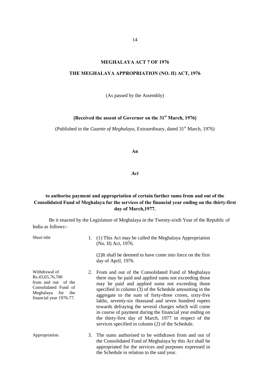# **MEGHALAYA ACT 7 OF 1976**

#### **THE MEGHALAYA APPROPRIATION (NO. II) ACT, 1976**

(As passed by the Assembly)

# **[Received the assent of Governor on the 31st March, 1976]**

(Published in the *Gazette of Meghalaya*, Extraordinary, dated 31<sup>st</sup> March, 1976)

**An**

#### *Act*

# **to authorise payment and appropriation of certain further sums from and out of the Consolidated Fund of Meghalaya for the services of the financial year ending on the thirty-first day of March,1977.**

Be it enacted by the Legislature of Meghalaya in the Twenty-sixth Year of the Republic of India as follows:-

| Short title                                                                                                                        | 1. | (1) This Act may be called the Meghalaya Appropriation<br>(No. II) Act, 1976.                                                                                                                                                                                                                                                                                                                                                                                                                                                                                                        |
|------------------------------------------------------------------------------------------------------------------------------------|----|--------------------------------------------------------------------------------------------------------------------------------------------------------------------------------------------------------------------------------------------------------------------------------------------------------------------------------------------------------------------------------------------------------------------------------------------------------------------------------------------------------------------------------------------------------------------------------------|
|                                                                                                                                    |    | (2) It shall be deemed to have come into force on the first<br>day of April, 1976.                                                                                                                                                                                                                                                                                                                                                                                                                                                                                                   |
| Withdrawal of<br>Rs.43,65,76,700<br>from and out of the<br>Consolidated Fund of<br>Meghalaya for<br>the<br>financial year 1976-77. |    | 2. From and out of the Consolidated Fund of Meghalaya<br>there may be paid and applied sums not exceeding those<br>may be paid and applied sums not exceeding those<br>specified in column (3) of the Schedule amounting in the<br>aggregate to the sum of forty-three crores, sixty-five<br>lakhs, seventy-six thousand and seven hundred rupees<br>towards defraying the several charges which will come<br>in course of payment during the financial year ending on<br>the thirty-first day of March, 1977 in respect of the<br>services specified in column (2) of the Schedule. |
| Appropriation.                                                                                                                     |    | 3. The sums authorised to be withdrawn from and out of<br>the Consolidated Fund of Meghalaya by this Act shall be<br>appropriated for the services and purposes expressed in<br>the Schedule in relation to the said year.                                                                                                                                                                                                                                                                                                                                                           |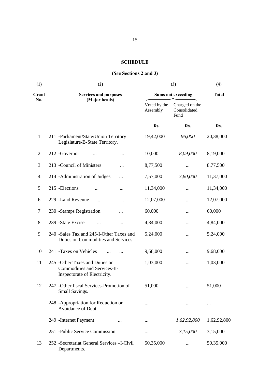# **SCHEDULE**

# **(***See* **Sections 2 and 3)**

| (1)   | (2)                                                                                             | (3)                       | (4)                                    |             |
|-------|-------------------------------------------------------------------------------------------------|---------------------------|----------------------------------------|-------------|
| Grant | <b>Services and purposes</b>                                                                    | <b>Sums not exceeding</b> | <b>Total</b>                           |             |
| No.   | (Major heads)                                                                                   | Voted by the<br>Assembly  | Charged on the<br>Consolidated<br>Fund |             |
|       |                                                                                                 | Rs.                       | Rs.                                    | Rs.         |
| 1     | 211 -Parliament/State/Union Territory<br>Legislature-B-State Territory.                         | 19,42,000                 | 96,000                                 | 20,38,000   |
| 2     | 212 - Governor<br>                                                                              | 10,000                    | 8,09,000                               | 8,19,000    |
| 3     | 213 - Council of Ministers<br>                                                                  | 8,77,500                  |                                        | 8,77,500    |
| 4     | 214 - Administration of Judges<br>                                                              | 7,57,000                  | 3,80,000                               | 11,37,000   |
| 5     | 215 - Elections<br>$\cdots$                                                                     | 11,34,000                 |                                        | 11,34,000   |
| 6     | 229 -Land Revenue<br>$\cdots$                                                                   | 12,07,000                 | $\cdots$                               | 12,07,000   |
| 7     | 230 -Stamps Registration<br>$\cdots$                                                            | 60,000                    | $\cdots$                               | 60,000      |
| 8     | 239 -State Excise<br>                                                                           | 4,84,000                  |                                        | 4,84,000    |
| 9     | 240 -Sales Tax and 245-I-Other Taxes and<br>Duties on Commodities and Services.                 | 5,24,000                  |                                        | 5,24,000    |
| 10    | 241 - Taxes on Vehicles                                                                         | 9,68,000                  |                                        | 9,68,000    |
| 11    | 245 - Other Taxes and Duties on<br>Commodities and Services-II-<br>Inspectorate of Electricity. | 1,03,000                  |                                        | 1,03,000    |
| 12    | 247 - Other fiscal Services-Promotion of<br>Small Savings.                                      | 51,000                    |                                        | 51,000      |
|       | 248 -Appropriation for Reduction or<br>Avoidance of Debt.                                       |                           |                                        |             |
|       | 249 - Internet Payment<br>                                                                      |                           | 1,62,92,800                            | 1,62,92,800 |
|       | 251 - Public Service Commission                                                                 |                           | 3,15,000                               | 3,15,000    |
| 13    | 252 - Secretariat General Services - I-Civil<br>Departments.                                    | 50,35,000                 |                                        | 50,35,000   |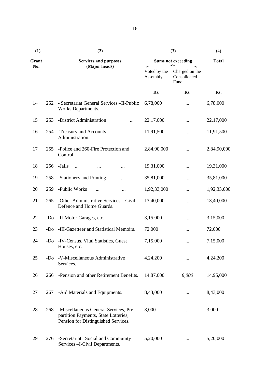| (1)   |       | (2)                                                                                                                  | (3)                       | (4)                                    |             |
|-------|-------|----------------------------------------------------------------------------------------------------------------------|---------------------------|----------------------------------------|-------------|
| Grant |       | <b>Services and purposes</b>                                                                                         | <b>Sums not exceeding</b> | <b>Total</b>                           |             |
| No.   |       | (Major heads)                                                                                                        | Voted by the<br>Assembly  | Charged on the<br>Consolidated<br>Fund |             |
|       |       |                                                                                                                      | Rs.                       | Rs.                                    | Rs.         |
| 14    | 252   | - Secretariat General Services - II-Public<br>Works Departments.                                                     | 6,78,000                  |                                        | 6,78,000    |
| 15    | 253   | -District Administration                                                                                             | 22,17,000                 | $\cdots$                               | 22,17,000   |
| 16    | 254   | -Treasury and Accounts<br>Administration.                                                                            | 11,91,500                 |                                        | 11,91,500   |
| 17    | 255   | -Police and 260-Fire Protection and<br>Control.                                                                      | 2,84,90,000               |                                        | 2,84,90,000 |
| 18    | 256   | -Jails<br>$\ddotsc$<br>                                                                                              | 19,31,000                 |                                        | 19,31,000   |
| 19    | 258   | -Stationery and Printing<br>                                                                                         | 35,81,000                 |                                        | 35,81,000   |
| 20    | 259   | -Public Works<br>                                                                                                    | 1,92,33,000               |                                        | 1,92,33,000 |
| 21    | 265   | -Other Administrative Services-I-Civil<br>Defence and Home Guards.                                                   | 13,40,000                 |                                        | 13,40,000   |
| 22    | -Do   | -II-Motor Garages, etc.                                                                                              | 3,15,000                  |                                        | 3,15,000    |
| 23    | $-D0$ | -III-Gazetteer and Statistical Memoirs.                                                                              | 72,000                    |                                        | 72,000      |
| 24    | -Do   | -IV-Census, Vital Statistics, Guest<br>Houses, etc.                                                                  | 7,15,000                  |                                        | 7,15,000    |
| 25    | -Do   | -V-Miscellaneous Administrative<br>Services.                                                                         | 4,24,200                  |                                        | 4,24,200    |
| 26    | 266   | -Pension and other Retirement Benefits.                                                                              | 14,87,000                 | 8,000                                  | 14,95,000   |
| 27    | 267   | -Aid Materials and Equipments.                                                                                       | 8,43,000                  |                                        | 8,43,000    |
| 28    | 268   | -Miscellaneous General Services, Pre-<br>partition Payments, State Lotteries,<br>Pension for Distinguished Services. | 3,000                     |                                        | 3,000       |
| 29    | 276   | -Secretariat -Social and Community<br>Services - I-Civil Departments.                                                | 5,20,000                  |                                        | 5,20,000    |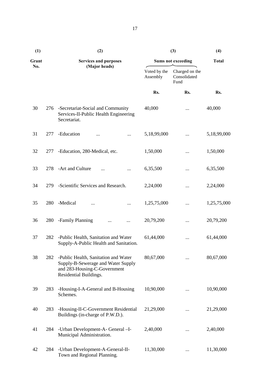| (1)   |     | (2)                                                                                                                                  | (3)                       | (4)                                    |             |
|-------|-----|--------------------------------------------------------------------------------------------------------------------------------------|---------------------------|----------------------------------------|-------------|
| Grant |     | <b>Services and purposes</b>                                                                                                         | <b>Sums not exceeding</b> | <b>Total</b>                           |             |
| No.   |     | (Major heads)                                                                                                                        | Voted by the<br>Assembly  | Charged on the<br>Consolidated<br>Fund |             |
|       |     |                                                                                                                                      | Rs.                       | Rs.                                    | Rs.         |
| 30    | 276 | -Secretariat-Social and Community<br>Services-II-Public Health Engineering<br>Secretariat.                                           | 40,000                    |                                        | 40,000      |
| 31    | 277 | -Education<br>$\cdots$<br>                                                                                                           | 5,18,99,000               |                                        | 5,18,99,000 |
| 32    | 277 | -Education, 280-Medical, etc.                                                                                                        | 1,50,000                  |                                        | 1,50,000    |
| 33    | 278 | -Art and Culture                                                                                                                     | 6,35,500                  |                                        | 6,35,500    |
| 34    | 279 | -Scientific Services and Research.                                                                                                   | 2,24,000                  | $\cdots$                               | 2,24,000    |
| 35    | 280 | -Medical                                                                                                                             | 1,25,75,000               |                                        | 1,25,75,000 |
| 36    | 280 | -Family Planning<br>                                                                                                                 | 20,79,200                 |                                        | 20,79,200   |
| 37    | 282 | -Public Health, Sanitation and Water<br>Supply-A-Public Health and Sanitation.                                                       | 61,44,000                 |                                        | 61,44,000   |
| 38    | 282 | -Public Health, Sanitation and Water<br>Supply-B-Sewerage and Water Supply<br>and 283-Housing-C-Government<br>Residential Buildings. | 80,67,000                 |                                        | 80,67,000   |
| 39    | 283 | -Housing-I-A-General and B-Housing<br>Schemes.                                                                                       | 10,90,000                 |                                        | 10,90,000   |
| 40    | 283 | -Housing-II-C-Government Residential<br>Buildings (in-charge of P.W.D.).                                                             | 21,29,000                 |                                        | 21,29,000   |
| 41    | 284 | -Urban Development-A- General -I-<br>Municipal Administration.                                                                       | 2,40,000                  |                                        | 2,40,000    |
| 42    | 284 | -Urban Development-A-General-II-<br>Town and Regional Planning.                                                                      | 11,30,000                 |                                        | 11,30,000   |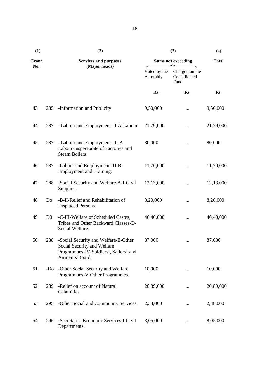| (1)   |                | (2)                                                                                                                             | (3)                       | (4)                                    |           |
|-------|----------------|---------------------------------------------------------------------------------------------------------------------------------|---------------------------|----------------------------------------|-----------|
| Grant |                | <b>Services and purposes</b>                                                                                                    | <b>Sums not exceeding</b> | <b>Total</b>                           |           |
| No.   |                | (Major heads)                                                                                                                   | Voted by the<br>Assembly  | Charged on the<br>Consolidated<br>Fund |           |
|       |                |                                                                                                                                 | Rs.                       | Rs.                                    | Rs.       |
| 43    | 285            | -Information and Publicity                                                                                                      | 9,50,000                  | $\cdots$                               | 9,50,000  |
| 44    | 287            | - Labour and Employment -I-A-Labour.                                                                                            | 21,79,000                 | $\cdots$                               | 21,79,000 |
| 45    | 287            | - Labour and Employment -II-A-<br>Labour-Inspectorate of Factories and<br>Steam Boilers.                                        | 80,000                    |                                        | 80,000    |
| 46    | 287            | -Labour and Employment-III-B-<br>Employment and Training.                                                                       | 11,70,000                 |                                        | 11,70,000 |
| 47    | 288            | -Social Security and Welfare-A-I-Civil<br>Supplies.                                                                             | 12,13,000                 |                                        | 12,13,000 |
| 48    | Do             | -B-II-Relief and Rehabilitation of<br>Displaced Persons.                                                                        | 8,20,000                  |                                        | 8,20,000  |
| 49    | D <sub>0</sub> | -C-III-Welfare of Scheduled Castes,<br>Tribes and Other Backward Classes-D-<br>Social Welfare.                                  | 46,40,000                 |                                        | 46,40,000 |
| 50    | 288            | -Social Security and Welfare-E-Other<br>Social Security and Welfare<br>Programmes-IV-Soldiers', Sailors' and<br>Airmen's Board. | 87,000                    |                                        | 87,000    |
| 51    | $-Do$          | -Other Social Security and Welfare<br>Programmes-V-Other Programmes.                                                            | 10,000                    |                                        | 10,000    |
| 52    | 289            | -Relief on account of Natural<br>Calamities.                                                                                    | 20,89,000                 |                                        | 20,89,000 |
| 53    | 295            | -Other Social and Community Services.                                                                                           | 2,38,000                  |                                        | 2,38,000  |
| 54    | 296            | -Secretariat-Economic Services-I-Civil<br>Departments.                                                                          | 8,05,000                  |                                        | 8,05,000  |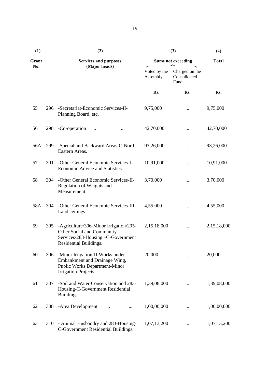| (1)   |               | (2)                                                                                                                                 | (3)                       | (4)                                    |             |
|-------|---------------|-------------------------------------------------------------------------------------------------------------------------------------|---------------------------|----------------------------------------|-------------|
| Grant |               | <b>Services and purposes</b>                                                                                                        | <b>Sums not exceeding</b> | <b>Total</b>                           |             |
| No.   | (Major heads) |                                                                                                                                     | Voted by the<br>Assembly  | Charged on the<br>Consolidated<br>Fund |             |
|       |               |                                                                                                                                     | Rs.                       | Rs.                                    | Rs.         |
| 55    | 296           | -Secretariat-Economic Services-II-<br>Planning Board, etc.                                                                          | 9,75,000                  | $\cdots$                               | 9,75,000    |
| 56    | 298           | -Co-operation<br>$\cdots$                                                                                                           | 42,70,000                 |                                        | 42,70,000   |
| 56A   | 299           | -Special and Backward Areas-C-North<br>Eastern Areas.                                                                               | 93,26,000                 |                                        | 93,26,000   |
| 57    | 301           | -Other General Economic Services-I-<br>Economic Advice and Statistics.                                                              | 10,91,000                 |                                        | 10,91,000   |
| 58    | 304           | -Other General Economic Services-II-<br>Regulation of Weights and<br>Measurement.                                                   | 3,70,000                  | $\cdots$                               | 3,70,000    |
| 58A   | 304           | -Other General Economic Services-III-<br>Land ceilings.                                                                             | 4,55,000                  |                                        | 4,55,000    |
| 59    | 305           | -Agriculture/306-Minor Irrigation/295-<br>Other Social and Community<br>Services/283-Housing-C-Government<br>Residential Buildings. | 2,15,18,000               |                                        | 2,15,18,000 |
| 60    | 306           | -Minor Irrigation-II-Works under<br>Embankment and Drainage Wing,<br><b>Public Works Department-Minor</b><br>Irrigation Projects.   | 20,000                    | $\cdots$                               | 20,000      |
| 61    | 307           | -Soil and Water Conservation and 283-<br>Housing-C-Government Residential<br>Buildings.                                             | 1,39,08,000               |                                        | 1,39,08,000 |
| 62    | 308           | -Area Development<br>                                                                                                               | 1,00,00,000               |                                        | 1,00,00,000 |
| 63    | 310           | - Animal Husbandry and 283-Housing-<br>C-Government Residential Buildings.                                                          | 1,07,13,200               | $\cdots$                               | 1,07,13,200 |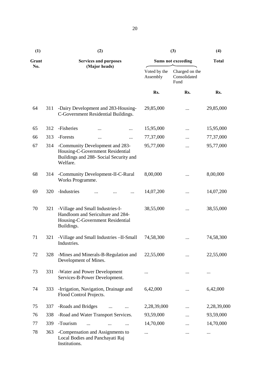| (1)   |               | (2)                                                                                                                       | (3)                       | (4)                                    |             |
|-------|---------------|---------------------------------------------------------------------------------------------------------------------------|---------------------------|----------------------------------------|-------------|
| Grant |               | <b>Services and purposes</b>                                                                                              | <b>Sums not exceeding</b> | <b>Total</b>                           |             |
| No.   | (Major heads) |                                                                                                                           | Voted by the<br>Assembly  | Charged on the<br>Consolidated<br>Fund |             |
|       |               |                                                                                                                           | Rs.                       | Rs.                                    | Rs.         |
| 64    | 311           | -Dairy Development and 283-Housing-<br>C-Government Residential Buildings.                                                | 29,85,000                 |                                        | 29,85,000   |
| 65    | 312           | -Fisheries<br>                                                                                                            | 15,95,000                 |                                        | 15,95,000   |
| 66    | 313           | -Forests<br><br>                                                                                                          | 77,37,000                 |                                        | 77,37,000   |
| 67    | 314           | -Community Development and 283-<br>Housing-C-Government Residential<br>Buildings and 288- Social Security and<br>Welfare. | 95,77,000                 |                                        | 95,77,000   |
| 68    | 314           | -Community Development-II-C-Rural<br>Works Programme.                                                                     | 8,00,000                  |                                        | 8,00,000    |
| 69    | 320           | -Industries<br>$\cdots$                                                                                                   | 14,07,200                 | .                                      | 14,07,200   |
| 70    | 321           | -Village and Small Industries-I-<br>Handloom and Sericulture and 284-<br>Housing-C-Government Residential<br>Buildings.   | 38,55,000                 | .                                      | 38,55,000   |
| 71    | 321           | -Village and Small Industries - II-Small<br>Industries.                                                                   | 74,58,300                 |                                        | 74,58,300   |
| 72    | 328           | -Mines and Minerals-B-Regulation and<br>Development of Mines.                                                             | 22,55,000                 |                                        | 22,55,000   |
| 73    | 331           | -Water and Power Development<br>Services-B-Power Development.                                                             | .                         |                                        |             |
| 74    | 333           | -Irrigation, Navigation, Drainage and<br>Flood Control Projects.                                                          | 6,42,000                  |                                        | 6,42,000    |
| 75    | 337           | -Roads and Bridges                                                                                                        | 2,28,39,000               |                                        | 2,28,39,000 |
| 76    | 338           | -Road and Water Transport Services.                                                                                       | 93,59,000                 |                                        | 93,59,000   |
| 77    | 339           | -Tourism                                                                                                                  | 14,70,000                 |                                        | 14,70,000   |
| 78    | 363           | -Compensation and Assignments to<br>Local Bodies and Panchayati Raj<br>Institutions.                                      |                           | .                                      |             |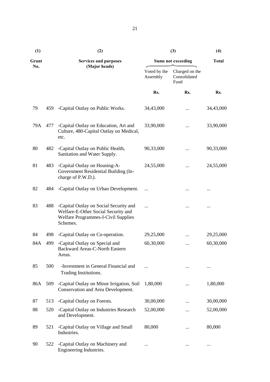| (1)   |     | (2)                                                                                                                                     | (3)                       | (4)                                    |           |  |
|-------|-----|-----------------------------------------------------------------------------------------------------------------------------------------|---------------------------|----------------------------------------|-----------|--|
| Grant |     | <b>Services and purposes</b>                                                                                                            | <b>Sums not exceeding</b> | <b>Total</b>                           |           |  |
| No.   |     | (Major heads)                                                                                                                           | Voted by the<br>Assembly  | Charged on the<br>Consolidated<br>Fund |           |  |
|       |     |                                                                                                                                         | Rs.                       | Rs.                                    | Rs.       |  |
| 79    | 459 | -Capital Outlay on Public Works.                                                                                                        | 34,43,000                 |                                        | 34,43,000 |  |
| 79A   | 477 | -Capital Outlay on Education, Art and<br>Culture, 480-Capital Outlay on Medical,<br>etc.                                                | 33,90,000                 |                                        | 33,90,000 |  |
| 80    | 482 | -Capital Outlay on Public Health,<br>Sanitation and Water Supply.                                                                       | 90,33,000                 |                                        | 90,33,000 |  |
| 81    | 483 | -Capital Outlay on Housing-A-<br>Government Residential Building (In-<br>charge of P.W.D.).                                             | 24,55,000                 |                                        | 24,55,000 |  |
| 82    | 484 | -Capital Outlay on Urban Development.                                                                                                   |                           |                                        |           |  |
| 83    | 488 | -Capital Outlay on Social Security and<br>Welfare-E-Other Social Security and<br><b>Welfare Programmes-I-Civil Supplies</b><br>Schemes. | .                         |                                        |           |  |
| 84    | 498 | -Capital Outlay on Co-operation.                                                                                                        | 29,25,000                 |                                        | 29,25,000 |  |
| 84A   | 499 | -Capital Outlay on Special and<br><b>Backward Areas-C-North Eastern</b><br>Areas.                                                       | 60,30,000                 |                                        | 60,30,000 |  |
| 85    | 500 | -Investment in General Financial and<br>Trading Institutions.                                                                           |                           |                                        |           |  |
| 86A   | 509 | -Capital Outlay on Minor Irrigation, Soil<br>Conservation and Area Development.                                                         | 1,80,000                  |                                        | 1,80,000  |  |
| 87    | 513 | -Capital Outlay on Forests.                                                                                                             | 30,00,000                 |                                        | 30,00,000 |  |
| 88    | 520 | -Capital Outlay on Industries Research<br>and Development.                                                                              | 52,00,000                 |                                        | 52,00,000 |  |
| 89    | 521 | -Capital Outlay on Village and Small<br>Industries.                                                                                     | 80,000                    |                                        | 80,000    |  |
| 90    | 522 | -Capital Outlay on Machinery and<br>Engineering Industries.                                                                             |                           |                                        |           |  |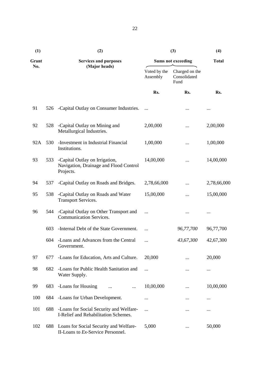| (1)   |     | (2)                                                                                   | (3)                       | (4)                                    |             |
|-------|-----|---------------------------------------------------------------------------------------|---------------------------|----------------------------------------|-------------|
| Grant |     | <b>Services and purposes</b>                                                          | <b>Sums not exceeding</b> | <b>Total</b>                           |             |
| No.   |     | (Major heads)                                                                         | Voted by the<br>Assembly  | Charged on the<br>Consolidated<br>Fund |             |
|       |     |                                                                                       | Rs.                       | Rs.                                    | Rs.         |
| 91    | 526 | -Capital Outlay on Consumer Industries.                                               |                           |                                        |             |
| 92    | 528 | -Capital Outlay on Mining and<br>Metallurgical Industries.                            | 2,00,000                  |                                        | 2,00,000    |
| 92A   | 530 | -Investment in Industrial Financial<br>1,00,000<br>Institutions.                      |                           |                                        | 1,00,000    |
| 93    | 533 | -Capital Outlay on Irrigation,<br>Navigation, Drainage and Flood Control<br>Projects. | 14,00,000                 |                                        | 14,00,000   |
| 94    | 537 | -Capital Outlay on Roads and Bridges.                                                 | 2,78,66,000               |                                        | 2,78,66,000 |
| 95    | 538 | -Capital Outlay on Roads and Water<br><b>Transport Services.</b>                      | 15,00,000                 |                                        | 15,00,000   |
| 96    | 544 | -Capital Outlay on Other Transport and<br><b>Communication Services.</b>              | .                         |                                        |             |
|       | 603 | -Internal Debt of the State Government.                                               |                           | 96,77,700                              | 96,77,700   |
|       | 604 | -Loans and Advances from the Central<br>Government.                                   |                           | 43,67,300                              | 42,67,300   |
| 97    | 677 | -Loans for Education, Arts and Culture.                                               | 20,000                    |                                        | 20,000      |
| 98    | 682 | -Loans for Public Health Sanitation and<br>Water Supply.                              |                           |                                        | $\cdots$    |
| 99    | 683 | -Loans for Housing<br>$\cdots$                                                        | 10,00,000                 |                                        | 10,00,000   |
| 100   | 684 | -Loans for Urban Development.                                                         |                           |                                        |             |
| 101   | 688 | -Loans for Social Security and Welfare-<br>I-Relief and Rehabilitation Schemes.       |                           |                                        |             |
| 102   | 688 | Loans for Social Security and Welfare-<br>II-Loans to Ex-Service Personnel.           | 5,000                     |                                        | 50,000      |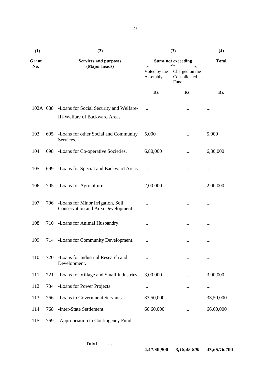| (1)   |     | (2)                                                                                | (3)                       | (4)                                    |           |
|-------|-----|------------------------------------------------------------------------------------|---------------------------|----------------------------------------|-----------|
| Grant |     | <b>Services and purposes</b>                                                       | <b>Sums not exceeding</b> | <b>Total</b>                           |           |
| No.   |     | (Major heads)                                                                      | Voted by the<br>Assembly  | Charged on the<br>Consolidated<br>Fund |           |
|       |     |                                                                                    | Rs.                       | Rs.                                    | Rs.       |
|       |     | 102A 688 -Loans for Social Security and Welfare-<br>III-Welfare of Backward Areas. |                           | $\ddotsc$                              |           |
| 103   | 695 | -Loans for other Social and Community<br>Services.                                 | 5,000                     |                                        | 5,000     |
| 104   | 698 | -Loans for Co-operative Societies.                                                 | 6,80,000                  |                                        | 6,80,000  |
| 105   | 699 | -Loans for Special and Backward Areas.                                             |                           |                                        |           |
| 106   | 705 | -Loans for Agriculture<br>$\cdots$                                                 | 2,00,000                  |                                        | 2,00,000  |
| 107   | 706 | -Loans for Minor Irrigation, Soil<br>Conservation and Area Development.            | .                         |                                        |           |
| 108   | 710 | -Loans for Animal Husbandry.                                                       |                           | $\cdots$                               |           |
| 109   | 714 | -Loans for Community Development.                                                  | $\cdots$                  | $\cdots$                               | $\cdots$  |
| 110   | 720 | -Loans for Industrial Research and<br>Development.                                 |                           |                                        |           |
| 111   | 721 | -Loans for Village and Small Industries.                                           | 3,00,000                  |                                        | 3,00,000  |
| 112   | 734 | -Loans for Power Projects.                                                         |                           |                                        |           |
| 113   | 766 | -Loans to Government Servants.                                                     | 33,50,000                 |                                        | 33,50,000 |
| 114   | 768 | -Inter-State Settlement.                                                           | 66,60,000                 |                                        | 66,60,000 |
| 115   | 769 | -Appropriation to Contingency Fund.                                                |                           |                                        |           |

23

**Total ...**

**4,47,30,900** *3,18,45,800* **43,65,76,700**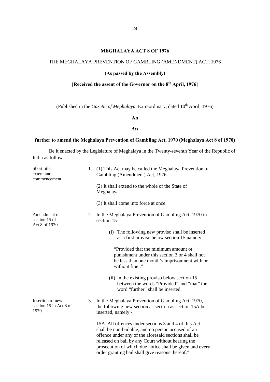#### **MEGHALAYA ACT 8 OF 1976**

#### THE MEGHALAYA PREVENTION OF GAMBLING (AMENDMENT) ACT, 1976

#### **(As passed by the Assembly)**

# **[Received the assent of the Governor on the 8th April, 1976]**

(Published in the *Gazette of Meghalaya*, Extraordinary, dated  $10^{th}$  April, 1976)

#### **An**

#### *Act*

#### **further to amend the Meghalaya Prevention of Gambling Act, 1970 (Meghalaya Act 8 of 1970)**

Be it enacted by the Legislature of Meghalaya in the Twenty-seventh Year of the Republic of India as follows:-

| Short title,<br>extent and<br>commencement.         | 1. | (1) This Act may be called the Meghalaya Prevention of<br>Gambling (Amendment) Act, 1976.                                                                                                                                                                                                                                               |
|-----------------------------------------------------|----|-----------------------------------------------------------------------------------------------------------------------------------------------------------------------------------------------------------------------------------------------------------------------------------------------------------------------------------------|
|                                                     |    | (2) It shall extend to the whole of the State of<br>Meghalaya.                                                                                                                                                                                                                                                                          |
|                                                     |    | (3) It shall come into force at once.                                                                                                                                                                                                                                                                                                   |
| Amendment of<br>section 15 of<br>Act 8 of 1970.     | 2. | In the Meghalaya Prevention of Gambling Act, 1970 in<br>section 15-                                                                                                                                                                                                                                                                     |
|                                                     |    | (i) The following new proviso shall be inserted<br>as a first proviso below section 15, namely:-                                                                                                                                                                                                                                        |
|                                                     |    | "Provided that the minimum amount ot<br>punishment under this section 3 or 4 shall not<br>be less than one month's imprisonment with or<br>without fine:"                                                                                                                                                                               |
|                                                     |    | (ii) In the existing proviso below section 15<br>between the words "Provided" and "that" the<br>word "further" shall be inserted.                                                                                                                                                                                                       |
| Insertion of new<br>section 15 in Act 8 of<br>1970. | 3. | In the Meghalaya Prevention of Gambling Act, 1970,<br>the following new section as section as section 15A be<br>inserted, namely:-                                                                                                                                                                                                      |
|                                                     |    | 15A. All offences under sections 3 and 4 of this Act<br>shall be non-bailable, and no person accused of an<br>offence under any of the aforesaid sections shall be<br>released on bail by any Court without hearing the<br>prosecution of which due notice shall be given and every<br>order granting bail shall give reasons thereof." |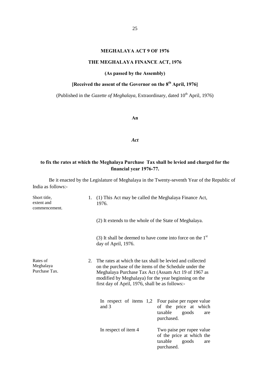#### **MEGHALAYA ACT 9 OF 1976**

# **THE MEGHALAYA FINANCE ACT, 1976**

**(As passed by the Assembly)**

# **[Received the assent of the Governor on the 8th April, 1976]**

(Published in the *Gazette of Meghalaya*, Extraordinary, dated 10<sup>th</sup> April, 1976)

**An**

#### *Act*

# **to fix the rates at which the Meghalaya Purchase Tax shall be levied and charged for the financial year 1976-77.**

Be it enacted by the Legislature of Meghalaya in the Twenty-seventh Year of the Republic of India as follows:-

| Short title,<br>extent and<br>commencement. |         | 1. (1) This Act may be called the Meghalaya Finance Act,<br>1976.                                                                                                                                                                                                                    |                                                                                                                      |
|---------------------------------------------|---------|--------------------------------------------------------------------------------------------------------------------------------------------------------------------------------------------------------------------------------------------------------------------------------------|----------------------------------------------------------------------------------------------------------------------|
|                                             |         | (2) It extends to the whole of the State of Meghalaya.                                                                                                                                                                                                                               |                                                                                                                      |
|                                             |         | (3) It shall be deemed to have come into force on the $1st$<br>day of April, 1976.                                                                                                                                                                                                   |                                                                                                                      |
| Rates of<br>Meghalaya<br>Purchase Tax.      | $2_{1}$ | The rates at which the tax shall be levied and collected<br>on the purchase of the items of the Schedule under the<br>Meghalaya Purchase Tax Act (Assam Act 19 of 1967 as<br>modified by Meghalaya) for the year beginning on the<br>first day of April, 1976, shall be as follows:- |                                                                                                                      |
|                                             |         | and 3                                                                                                                                                                                                                                                                                | In respect of items 1,2 Four paise per rupee value<br>of the price at which<br>taxable<br>goods<br>are<br>purchased. |
|                                             |         | In respect of item 4                                                                                                                                                                                                                                                                 | Two paise per rupee value<br>of the price at which the<br>taxable<br>goods<br>are<br>purchased.                      |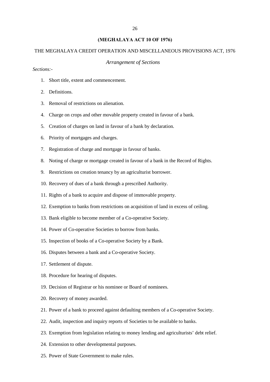#### **(MEGHALAYA ACT 10 OF 1976)**

#### THE MEGHALAYA CREDIT OPERATION AND MISCELLANEOUS PROVISIONS ACT, 1976

#### *Arrangement of Sections*

*Sections:-*

- 1. Short title, extent and commencement.
- 2. Definitions.
- 3. Removal of restrictions on alienation.
- 4. Charge on crops and other movable property created in favour of a bank.
- 5. Creation of charges on land in favour of a bank by declaration.
- 6. Priority of mortgages and charges.
- 7. Registration of charge and mortgage in favour of banks.
- 8. Noting of charge or mortgage created in favour of a bank in the Record of Rights.
- 9. Restrictions on creation tenancy by an agriculturist borrower.
- 10. Recovery of dues of a bank through a prescribed Authority.
- 11. Rights of a bank to acquire and dispose of immovable property.
- 12. Exemption to banks from restrictions on acquisition of land in excess of ceiling.
- 13. Bank eligible to become member of a Co-operative Society.
- 14. Power of Co-operative Societies to borrow from banks.
- 15. Inspection of books of a Co-operative Society by a Bank.
- 16. Disputes between a bank and a Co-operative Society.
- 17. Settlement of dispute.
- 18. Procedure for hearing of disputes.
- 19. Decision of Registrar or his nominee or Board of nominees.
- 20. Recovery of money awarded.
- 21. Power of a bank to proceed against defaulting members of a Co-operative Society.
- 22. Audit, inspection and inquiry reports of Societies to be available to banks.
- 23. Exemption from legislation relating to money lending and agriculturists' debt relief.
- 24. Extension to other developmental purposes.
- 25. Power of State Government to make rules.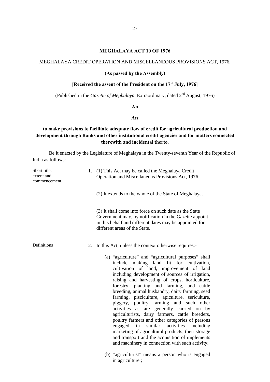#### **MEGHALAYA ACT 10 OF 1976**

#### MEGHALAYA CREDIT OPERATION AND MISCELLANEOUS PROVISIONS ACT, 1976.

#### **(As passed by the Assembly)**

# **[Received the assent of the President on the 17th July, 1976]**

(Published in the *Gazette of Meghalaya*, Extraordinary, dated 2<sup>nd</sup> August, 1976)

**An**

#### *Act*

# **to make provisions to facilitate adequate flow of credit for agricultural production and development through Banks and other institutional credit agencies and for matters connected therewith and incidental therto.**

Be it enacted by the Legislature of Meghalaya in the Twenty-seventh Year of the Republic of India as follows:-

| Short title,<br>extent and<br>commencement. | 1. | (1) This Act may be called the Meghalaya Credit<br>Operation and Miscellaneous Provisions Act, 1976.                                                                                                                                                                                                                                                                                                                                                                                                                                                                                                                                                                                                                                                                                                              |
|---------------------------------------------|----|-------------------------------------------------------------------------------------------------------------------------------------------------------------------------------------------------------------------------------------------------------------------------------------------------------------------------------------------------------------------------------------------------------------------------------------------------------------------------------------------------------------------------------------------------------------------------------------------------------------------------------------------------------------------------------------------------------------------------------------------------------------------------------------------------------------------|
|                                             |    | (2) It extends to the whole of the State of Meghalaya.                                                                                                                                                                                                                                                                                                                                                                                                                                                                                                                                                                                                                                                                                                                                                            |
|                                             |    | (3) It shall come into force on such date as the State<br>Government may, by notification in the Gazette appoint<br>in this behalf and different dates may be appointed for<br>different areas of the State.                                                                                                                                                                                                                                                                                                                                                                                                                                                                                                                                                                                                      |
| Definitions                                 | 2. | In this Act, unless the context otherwise requires:-                                                                                                                                                                                                                                                                                                                                                                                                                                                                                                                                                                                                                                                                                                                                                              |
|                                             |    | (a) "agriculture" and "agricultural purposes" shall<br>making land fit for cultivation,<br>include<br>cultivation of land, improvement of land<br>including development of sources of irrigation,<br>raising and harvesting of crops, horticulture,<br>forestry, planting and farming, and cattle<br>breeding, animal husbandry, dairy farming, seed<br>farming, pisciculture, apiculture, sericulture,<br>piggery, poultry farming and such other<br>are generally carried on by<br>activities as<br>agriculturists, dairy farmers, cattle breeders,<br>poultry farmers and other categories of persons<br>similar activities including<br>engaged in<br>marketing of agricultural products, their storage<br>and transport and the acquisition of implements<br>and machinery in connection with such activity; |
|                                             |    | (b) "agriculturist" means a person who is engaged<br>in agriculture;                                                                                                                                                                                                                                                                                                                                                                                                                                                                                                                                                                                                                                                                                                                                              |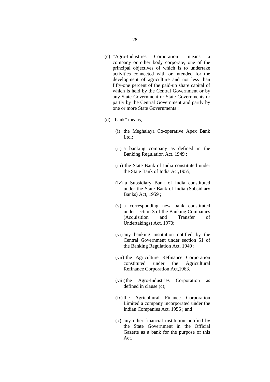- (c) "Agro-Industries Corporation" means a company or other body corporate, one of the principal objectives of which is to undertake activities connected with or intended for the development of agriculture and not less than fifty-one percent of the paid-up share capital of which is held by the Central Government or by any State Government or State Governments or partly by the Central Government and partly by one or more State Governments ;
- (d) "bank" means,-
	- (i) the Meghalaya Co-operative Apex Bank Ltd.:
	- (ii) a banking company as defined in the Banking Regulation Act, 1949 ;
	- (iii) the State Bank of India constituted under the State Bank of India Act,1955;
	- (iv) a Subsidiary Bank of India constituted under the State Bank of India (Subsidiary Banks) Act, 1959 ;
	- (v) a corresponding new bank constituted under section 3 of the Banking Companies (Acquisition and Transfer of Undertakings) Act, 1970;
	- (vi) any banking institution notified by the Central Government under section 51 of the Banking Regulation Act, 1949 ;
	- (vii) the Agriculture Refinance Corporation constituted under the Agricultural Refinance Corporation Act,1963.
	- (viii)the Agro-Industries Corporation as defined in clause (c);
	- (ix) the Agricultural Finance Corporation Limited a company incorporated under the Indian Companies Act, 1956 ; and
	- (x) any other financial institution notified by the State Government in the Official Gazette as a bank for the purpose of this Act.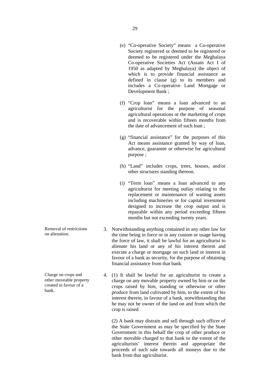- (e) "Co-operative Society" means a Co-operative Society registered or deemed to be registered or deemed to be registered under the Meghalaya Co-operative Societies Act (Assam Act I of 1950 as adapted by Meghalaya) the object of which is to provide financial assistance as defined in clause (g) to its members and includes a Co-operative Land Mortgage or Development Bank ;
- (f) "Crop loan" means a loan advanced to an agriculturist for the purpose of seasonal agricultural operations or the marketing of crops and is recoverable within fifteen months from the date of advancement of such loan ;
- (g) "financial assistance" for the purposes of this Act means assistance granted by way of loan, advance, guarantee or otherwise for agricultural purpose ;
- (h) "Land" includes crops, trees, houses, and/or other structures standing thereon.
- (i) "Term loan" means a loan advanced to any agriculturist for meeting outlay relating to the replacement or maintenance of wasting assets including machineries or for capital investment designed to increase the crop output and is repayable within any period exceeding fifteen months but not exceeding twenty years.
- 3. Notwithstanding anything contained in any other law for the time being in force or in any custom or usage having the force of law, it shall be lawful for an agriculturist to alienate his land or any of his interest therein and execute a charge or mortgage on such land or interest in favour of a bank as security, for the purpose of obtaining financial assistance from that bank.
- 4. (1) It shall be lawful for an agriculturist to create a charge on any movable property owned by him or on the crops raised by him, standing or otherwise or other produce from land cultivated by him, to the extent of his interest therein, in favour of a bank, notwithstanding that he may not be owner of the land on and from which the crop is raised.

(2) A bank may distrain and sell through such officer of the State Government as may be specified by the State Government in this behalf the crop of other produce or other movable charged to that bank to the extent of the agriculturists' interest therein and appropriate the proceeds of such sale towards all moneys due to the bank from that agriculturist.

Removal of restrictions on alienation.

Charge on crops and other moveable property created in favour of a bank.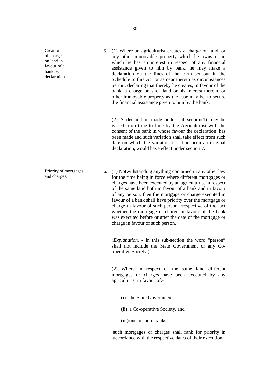Creation of charges on land in favour of a bank by declaration.

Priority of mortgages and charges.

5. (1) Where an agriculturist creates a charge on land, or any other immovable property which he owns or in which he has an interest in respect of any financial assistance given to him by bank, he may make a declaration on the lines of the form set out in the Schedule to this Act or as near thereto as circumstances permit, declaring that thereby he creates, in favour of the bank, a charge on such land or his interest therein, or other immovable property as the case may be, to secure the financial assistance given to him by the bank.

(2) A declaration made under sub-section(1) may be varied from time to time by the Agriculturist with the consent of the bank in whose favour the declaration has been made and such variation shall take effect from such date on which the variation if it had been an original declaration, would have effect under section 7.

6. (1) Notwithstanding anything contained in any other law for the time being in force where different mortgages or charges have been executed by an agriculturist in respect of the same land both in favour of a bank and in favour of any person, then the mortgage or charge executed in favour of a bank shall have priority over the mortgage or charge in favour of such person irrespective of the fact whether the mortgage or charge in favour of the bank was executed before or after the date of the mortgage or charge in favour of such person.

(*Explanation. -* In this sub-section the word "person" shall not include the State Government or any Cooperative Society.)

(2) Where in respect of the same land different mortgages or charges have been executed by any agriculturist in favour of:-

- (i) the State Government.
- (ii) a Co-operative Society, and
- (iii) one or more banks,

such mortgages or charges shall rank for priority in accordance with the respective dates of their execution.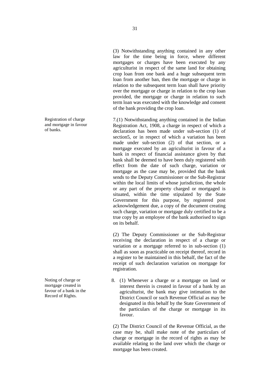(3) Notwithstanding anything contained in any other law for the time being in force, where different mortgages or charges have been executed by any agriculturist in respect of the same land for obtaining crop loan from one bank and a huge subsequent term loan from another ban, then the mortgage or charge in relation to the subsequent term loan shall have priority over the mortgage or charge in relation to the crop loan provided, the mortgage or charge in relation to such term loan was executed with the knowledge and consent of the bank providing the crop loan.

7.(1) Notwithstanding anything contained in the Indian Registration Act, 1908, a charge in respect of which a declaration has been made under sub-section (1) of section5, or in respect of which a variation has been made under sub-section (2) of that section, or a mortgage executed by an agriculturist in favour of a bank in respect of financial assistance given by that bank shall be deemed to have been duly registered with effect from the date of such charge, variation or mortgage as the case may be, provided that the bank sends to the Deputy Commissioner or the Sub-Registrar within the local limits of whose jurisdiction, the whole or any part of the property charged or mortgaged is situated, within the time stipulated by the State Government for this purpose, by registered post acknowledgement due, a copy of the document creating such charge, variation or mortgage duly certified to be a true copy by an employee of the bank authorised to sign on its behalf.

(2) The Deputy Commissioner or the Sub-Registrar receiving the declaration in respect of a charge or variation or a mortgage referred to in sub-section (1) shall as soon as practicable on receipt thereof, record in a register to be maintained in this behalf, the fact of the receipt of such declaration variation on mortgage for registration.

8. (1) Whenever a charge or a mortgage on land or interest therein is created in favour of a bank by an agriculturist, the bank may give intimation to the District Council or such Revenue Official as may be designated in this behalf by the State Government of the particulars of the charge or mortgage in its favour.

(2) The District Council of the Revenue Official, as the case may be, shall make note of the particulars of charge or mortgage in the record of rights as may be available relating to the land over which the charge or mortgage has been created.

Registration of charge and mortgage in favour of banks.

Noting of charge or mortgage created in favour of a bank in the Record of Rights.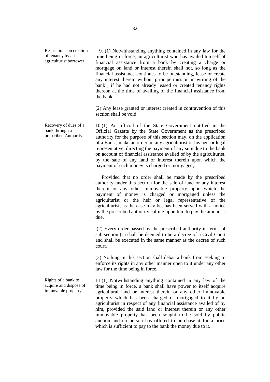Restrictions on creation of tenancy by an agriculturist borrower.

 9. (1) Notwithstanding anything contained in any law for the time being in force, an agriculturist who has availed himself of financial assistance from a bank by creating a charge or mortgage on land or interest therein shall not, so long as the financial assistance continues to be outstanding, lease or create any interest therein without prior permission in writing of the bank , if he had not already leased or created tenancy rights thereon at the time of availing of the financial assistance from the bank.

(2) Any lease granted or interest created in contravention of this section shall be void.

Recovery of dues of a 10.(1) An official of the State Government notified in the Official Gazette by the State Government as the prescribed authority for the purpose of this section may, on the application of a Bank , make an order on any agriculturist or his heir or legal representative, directing the payment of any sum due to the bank on account of financial assistance availed of by the agriculturist, by the sale of any land or interest therein upon which the payment of such money is charged or mortgaged;

> Provided that no order shall be made by the prescribed authority under this section for the sale of land or any interest therein or any other immovable property upon which the payment of money is charged or mortgaged unless the agriculturist or the heir or legal representative of the agriculturist, as the case may be, has been served with a notice by the prescribed authority calling upon him to pay the amount's due.

> (2) Every order passed by the prescribed authority in terms of sub-section (1) shall be deemed to be a decree of a Civil Court and shall be executed in the same manner as the decree of such court.

> (3) Nothing in this section shall debar a bank from seeking to enforce its rights in any other manner open to it under any other law for the time being in force.

11.(1) Notwithstanding anything contained in any law of the time being in force, a bank shall have power to itself acquire agricultural land or interest therein or any other immovable property which has been charged or mortgaged to it by an agriculturist in respect of any financial assistance availed of by him, provided the said land or interest therein or any other immovable property has been sought to be sold by public auction and no person has offered to purchase it for a price which is sufficient to pay to the bank the money due to it.

bank through a prescribed Authority.

Rights of a bank to acquire and dispose of immovable property.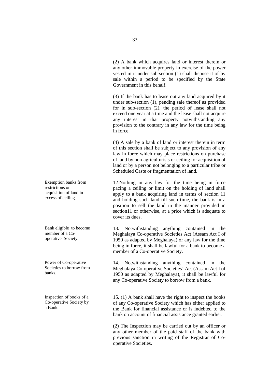(2) A bank which acquires land or interest therein or any other immovable property in exercise of the power vested in it under sub-section (1) shall dispose it of by sale within a period to be specified by the State Government in this behalf.

(3) If the bank has to lease out any land acquired by it under sub-section (1), pending sale thereof as provided for in sub-section (2), the period of lease shall not exceed one year at a time and the lease shall not acquire any interest in that property notwithstanding any provision to the contrary in any law for the time being in force.

(4) A sale by a bank of land or interest therein in term of this section shall be subject to any provision of any law in force which may place restrictions on purchase of land by non-agriculturists or ceiling for acquisition of land or by a person not belonging to a particular tribe or Scheduled Caste or fragmentation of land.

12.Nothing in any law for the time being in force pacing a ceiling or limit on the holding of land shall apply to a bank acquiring land in terms of section 11 and holding such land till such time, the bank is in a position to sell the land in the manner provided in section11 or otherwise, at a price which is adequate to cover its dues.

13. Notwithstanding anything contained in the Meghalaya Co-operative Societies Act (Assam Act I of 1950 as adapted by Meghalaya) or any law for the time being in force, it shall be lawful for a bank to become a member of a Co-operative Society.

14. Notwithstanding anything contained in the Meghalaya Co-operative Societies' Act (Assam Act I of 1950 as adapted by Meghalaya), it shall be lawful for any Co-operative Society to borrow from a bank.

15. (1) A bank shall have the right to inspect the books of any Co-operative Society which has either applied to the Bank for financial assistance or is indebted to the bank on account of financial assistance granted earlier.

(2) The Inspection may be carried out by an officer or any other member of the paid staff of the bank with previous sanction in writing of the Registrar of Cooperative Societies.

Exemption banks from restrictions on acquisition of land in excess of ceiling.

Bank eligible to become member of a Cooperative Society.

Power of Co-operative Societies to borrow from banks.

Inspection of books of a Co-operative Society by a Bank.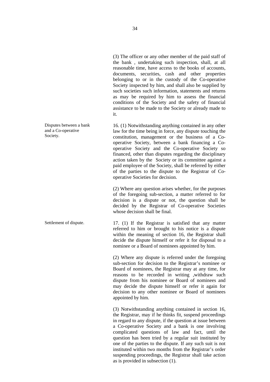(3) The officer or any other member of the paid staff of the bank , undertaking such inspection, shall, at all reasonable time, have access to the books of accounts, documents, securities, cash and other properties belonging to or in the custody of the Co-operative Society inspected by him, and shall also be supplied by such societies such information, statements and returns as may be required by him to assess the financial conditions of the Society and the safety of financial assistance to be made to the Society or already made to it.

and a Co-operative Society. 16. (1) Notwithstanding anything contained in any other law for the time being in force, any dispute touching the constitution, management or the business of a Cooperative Society, between a bank financing a Cooperative Society and the Co-operative Society so financed, other than disputes regarding the disciplinary action taken by the Society or its committee against a paid employee of the Society, shall be referred by either of the parties to the dispute to the Registrar of Cooperative Societies for decision.

> (2) Where any question arises whether, for the purposes of the foregoing sub-section, a matter referred to for decision is a dispute or not, the question shall be decided by the Registrar of Co-operative Societies whose decision shall be final.

Settlement of dispute. 17. (1) If the Registrar is satisfied that any matter referred to him or brought to his notice is a dispute within the meaning of section 16, the Registrar shall decide the dispute himself or refer it for disposal to a nominee or a Board of nominees appointed by him.

> (2) Where any dispute is referred under the foregoing sub-section for decision to the Registrar's nominee or Board of nominees, the Registrar may at any time, for reasons to be recorded in writing ,withdraw such dispute from his nominee or Board of nominees and may decide the dispute himself or refer it again for decision to any other nominee or Board of nominees appointed by him.

> (3) Notwithstanding anything contained in section 16, the Registrar, may if he thinks fit, suspend proceedings in regard to any dispute, if the question at issue between a Co-operative Society and a bank is one involving complicated questions of law and fact, until the question has been tried by a regular suit instituted by one of the parties to the dispute. If any such suit is not instituted within two months from the Registrar's order suspending proceedings, the Registrar shall take action as is provided in subsection (1).

Disputes between a bank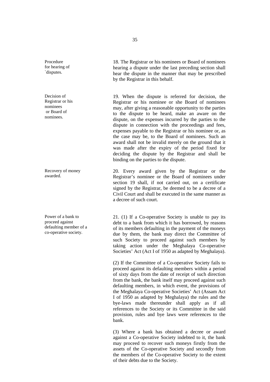Procedure for hearing of `disputes.

Decision of Registrar or his nominees or Board of nominees.

Recovery of money awarded.

Power of a bank to proceed against defaulting member of a co-operative society.

18. The Registrar or his nominees or Board of nominees hearing a dispute under the last preceding section shall hear the dispute in the manner that may be prescribed

19. When the dispute is referred for decision, the Registrar or his nominee or she Board of nominees may, after giving a reasonable opportunity to the parties to the dispute to be heard, make an aware on the dispute, on the expenses incurred by the parties to the dispute in connection with the proceedings and fees, expenses payable to the Registrar or his nominee or, as the case may be, to the Board of nominees. Such an award shall not be invalid merely on the ground that it was made after the expiry of the period fixed for deciding the dispute by the Registrar and shall be binding on the parties to the dispute.

20. Every award given by the Registrar or the Registrar's nominee or the Board of nominees under section 19 shall, if not carried out, on a certificate signed by the Registrar, be deemed to be a decree of a Civil Court and shall be executed in the same manner as a decree of such court.

21. (1) If a Co-operative Society is unable to pay its debt to a bank from which it has borrowed, by reasons of its members defaulting in the payment of the moneys due by them, the bank may direct the Committee of such Society to proceed against such members by taking action under the Meghalaya Co-operative Societies' Act (Act I of 1950 as adapted by Meghalaya).

(2) If the Committee of a Co-operative Society fails to proceed against its defaulting members within a period of sixty days from the date of receipt of such direction from the bank, the bank itself may proceed against such defaulting members, in which event, the provisions of the Meghalaya Co-operative Societies' Act (Assam Act I of 1950 as adapted by Meghalaya) the rules and the bye-laws made thereunder shall apply as if all references to the Society or its Committee in the said provision, rules and bye laws were references to the bank.

(3) Where a bank has obtained a decree or award against a Co-operative Society indebted to it, the bank may proceed to recover such moneys firstly from the assets of the Co-operative Society and secondly from the members of the Co-operative Society to the extent of their debts due to the Society.

by the Registrar in this behalf.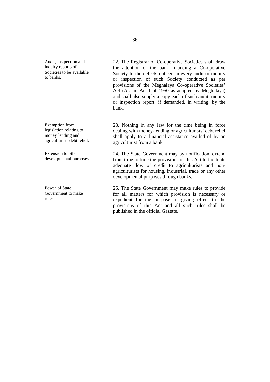Audit, instpection and inquiry reports of Societies to be available to banks.

Exemption from legislation relating to money lending and agriculturists debt relief.

Extension to other developmental purposes.

Power of State Government to make rules.

22. The Registrar of Co-operative Societies shall draw the attention of the bank financing a Co-operative Society to the defects noticed in every audit or inquiry or inspection of such Society conducted as per provisions of the Meghalaya Co-operative Societies' Act (Assam Act I of 1950 as adapted by Meghalaya) and shall also supply a copy each of such audit, inquiry or inspection report, if demanded, in writing, by the bank.

23. Nothing in any law for the time being in force dealing with money-lending or agriculturists' debt relief shall apply to a financial assistance availed of by an agriculturist from a bank.

24. The State Government may by notification, extend from time to time the provisions of this Act to facilitate adequate flow of credit to agriculturists and nonagriculturists for housing, industrial, trade or any other developmental purposes through banks.

25. The State Government may make rules to provide for all matters for which provision is necessary or expedient for the purpose of giving effect to the provisions of this Act and all such rules shall be published in the official Gazette.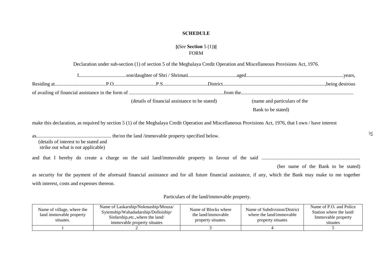# **SCHEDULE**

# **[(***See* **Section** 5 (1)**)]** FORM

# Declaration under sub-section (1) of section 5 of the Meghalaya Credit Operation and Miscellaneous Provisions Act, 1976.

|                                                                                                                                                                                                                                         | (details of financial assistance to be stated) | (name and particulars of the |                                     |
|-----------------------------------------------------------------------------------------------------------------------------------------------------------------------------------------------------------------------------------------|------------------------------------------------|------------------------------|-------------------------------------|
|                                                                                                                                                                                                                                         |                                                | Bank to be stated)           |                                     |
| make this declaration, as required by section 5 (1) of the Meghalaya Credit Operation and Miscellaneous Provisions Act, 1976, that I own / have interest<br>(details of interest to be stated and<br>strike out what is not applicable) |                                                |                              |                                     |
|                                                                                                                                                                                                                                         |                                                |                              |                                     |
|                                                                                                                                                                                                                                         |                                                |                              | (her name of the Bank to be stated) |
| as security for the payment of the aforesaid financial assistance and for all future financial assistance, if any, which the Bank may make to me together                                                                               |                                                |                              |                                     |
| with interest, costs and expenses thereon.                                                                                                                                                                                              |                                                |                              |                                     |

Particulars of the land/immovable property.

| Name of village, where the<br>land immovable property<br>situates. | Name of Laskarship/Nokmaship/Mouza/<br>Syiemship/Wahadadarship/Dolloiship/<br>Sirdarship, etc., where the land/<br>immovable property situates | Name of Blocks where<br>the land/immovable<br>property situates. | Name of Subdivision/District<br>where the land/immovable<br>property situates | Name of P.O. and Police<br>Station where the land/<br>Immovable property<br>situates |
|--------------------------------------------------------------------|------------------------------------------------------------------------------------------------------------------------------------------------|------------------------------------------------------------------|-------------------------------------------------------------------------------|--------------------------------------------------------------------------------------|
|                                                                    |                                                                                                                                                |                                                                  |                                                                               |                                                                                      |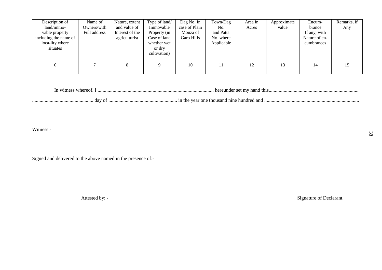| Description of        | Name of      | Nature, extent  | Type of land/ | Dag No. In    | Town/Dag   | Area in | Approximate | Encum-        | Remarks, if |
|-----------------------|--------------|-----------------|---------------|---------------|------------|---------|-------------|---------------|-------------|
| land/immo-            | Owners/with  | and value of    | Immovable     | case of Plain | No.        | Acres   | value       | brance        | Any         |
| vable property        | Full address | Interest of the | Property (in  | Mouza of      | and Patta  |         |             | If any, with  |             |
| including the name of |              | agriculturist   | Case of land  | Garo Hills    | No. where  |         |             | Nature of en- |             |
| loca-lity where       |              |                 | whether wet   |               | Applicable |         |             | cumbrances    |             |
| situates              |              |                 | or dry        |               |            |         |             |               |             |
|                       |              |                 | cultivation)  |               |            |         |             |               |             |
|                       |              |                 |               |               |            |         |             |               |             |
| <sub>0</sub>          |              | ◠               | $\mathbf Q$   | 10            |            | 12      | 13          | 14            | 15          |
|                       |              |                 |               |               |            |         |             |               |             |

In witness whereof, I ............................................................................................. hereunder set my hand this........................................................................

................................................. day of ....................................................... in the year one thousand nine hundred and ............................................................................

Witness:-

Signed and delivered to the above named in the presence of:-

Attested by: - Signature of Declarant.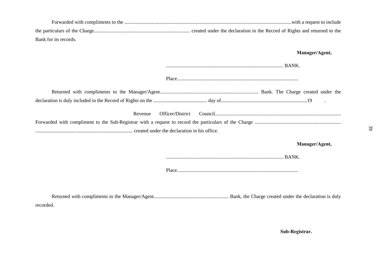| Bank for its records.       |                |
|-----------------------------|----------------|
|                             | Manager/Agent, |
|                             |                |
|                             |                |
|                             |                |
| Officer/District<br>Revenue |                |
|                             |                |
|                             |                |
|                             | Manager/Agent, |
|                             |                |
|                             |                |
|                             |                |
|                             |                |

recorded.

**Sub-Registrar.**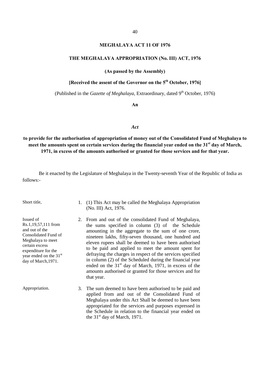#### **MEGHALAYA ACT 11 OF 1976**

#### **THE MEGHALAYA APPROPRIATION (No. III) ACT, 1976**

#### **(As passed by the Assembly)**

# **[Received the assent of the Governor on the 5th October, 1976]**

(Published in the *Gazette of Meghalaya*, Extraordinary, dated  $9<sup>th</sup>$  October, 1976)

**An**

#### *Act*

**to provide for the authorisation of appropriation of money out of the Consolidated Fund of Meghalaya to meet the amounts spent on certain services during the financial year ended on the 31st day of March, 1971, in excess of the amounts authorised or granted for those services and for that year.**

Be it enacted by the Legislature of Meghalaya in the Twenty-seventh Year of the Republic of India as follows:-

Issued of Rs.1,19,57,111 from and out of the Consolidated Fund of Meghalaya to meet certain excess expenditure for the year ended on the 31st day of March,1971.

- Short title, 1. (1) This Act may be called the Meghalaya Appropriation (No. III) Act, 1976.
	- 2. From and out of the consolidated Fund of Meghalaya, the sums specified in column (3) of the Schedule amounting in the aggregate to the sum of one crore, nineteen lakhs, fifty-seven thousand, one hundred and eleven rupees shall be deemed to have been authorised to be paid and applied to meet the amount spent for defraying the charges in respect of the services specified in column (2) of the Scheduled during the financial year ended on the  $31<sup>st</sup>$  day of March, 1971, in excess of the amounts authorised or granted for those services and for that year.
- Appropriation. 3. The sum deemed to have been authorised to be paid and applied from and out of the Consolidated Fund of Meghalaya under this Act Shall be deemed to have been appropriated for the services and purposes expressed in the Schedule in relation to the financial year ended on the  $31<sup>st</sup>$  day of March, 1971.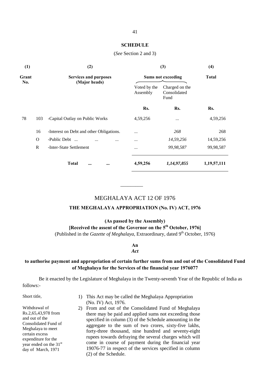#### **SCHEDULE**

#### (*See* Section 2 and 3)

| (1)   |              | (2)                                      |                           | (3)                                    | (4)         |  |  |  |
|-------|--------------|------------------------------------------|---------------------------|----------------------------------------|-------------|--|--|--|
| Grant |              | <b>Services and purposes</b>             | <b>Sums not exceeding</b> | <b>Total</b>                           |             |  |  |  |
| No.   |              | (Major heads)                            | Voted by the<br>Assembly  | Charged on the<br>Consolidated<br>Fund |             |  |  |  |
|       |              |                                          | Rs.                       | Rs.                                    | Rs.         |  |  |  |
| 78    | 103          | -Capital Outlay on Public Works          | 4,59,256                  |                                        | 4,59,256    |  |  |  |
|       | 16           | -Interest on Debt and other Obligations. |                           | 268                                    | 268         |  |  |  |
|       | $\Omega$     | -Public Debt<br>$\cdots$<br>             | $\cdots$                  | 14,59,256                              | 14,59,256   |  |  |  |
|       | $\mathbb{R}$ | -Inter-State Settlement                  | $\cdots$                  | 99,98,587                              | 99,98,587   |  |  |  |
|       |              | <b>Total</b><br><br>                     | 4,59,256                  | 1,14,97,855                            | 1,19,57,111 |  |  |  |

\_\_\_\_\_\_\_\_\_

# MEGHALAYA ACT 12 OF 1976

#### **THE MEGHALAYA APPROPRIATION (No. IV) ACT, 1976**

# **(As passed by the Assembly) [Received the assent of the Governor on the 5th October, 1976]**  (Published in the *Gazette of Meghalaya*, Extraordinary, dated 9<sup>th</sup> October, 1976)

**An** *Act*

#### **to authorise payment and appropriation of certain further sums from and out of the Consolidated Fund of Meghalaya for the Services of the financial year 1976077**

Be it enacted by the Legislature of Meghalaya in the Twenty-seventh Year of the Republic of India as follows:-

Withdrawal of Rs.2,65,43,978 from and out of the

Consolidated Fund of Meghalaya to meet certain excess expenditure for the year ended on the 31<sup>st</sup> day of March, 1971

- Short title, 1) This Act may be called the Meghalaya Appropriation (No. IV) Act, 1976.
	- 2) From and out of the Consolidated Fund of Meghalaya there may be paid and applied sums not exceeding those specified in column (3) of the Schedule amounting in the aggregate to the sum of two crores, sixty-five lakhs, forty-three thousand, nine hundred and seventy-eight rupees towards defraying the several charges which will come in course of payment during the financial year 19076-77 in respect of the services specified in column (2) of the Schedule.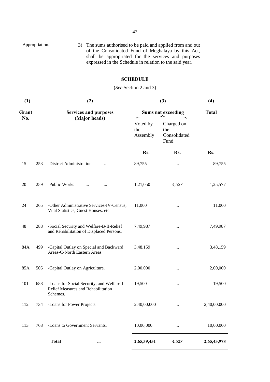| Appropriation. | 3) The sums authorised to be paid and applied from and out |
|----------------|------------------------------------------------------------|
|                | of the Consolidated Fund of Meghalaya by this Act,         |
|                | shall be appropriated for the services and purposes        |
|                | expressed in the Schedule in relation to the said year.    |

# **SCHEDULE**

# (*See* Section 2 and 3)

| (1)   | (2) |                                                                                              |                             | (3)                                       | (4)          |  |
|-------|-----|----------------------------------------------------------------------------------------------|-----------------------------|-------------------------------------------|--------------|--|
| Grant |     | <b>Services and purposes</b>                                                                 |                             | <b>Sums not exceeding</b>                 | <b>Total</b> |  |
| No.   |     | (Major heads)                                                                                | Voted by<br>the<br>Assembly | Charged on<br>the<br>Consolidated<br>Fund |              |  |
|       |     |                                                                                              | Rs.                         | Rs.                                       | Rs.          |  |
| 15    | 253 | -District Administration<br>$\cdots$                                                         | 89,755                      | $\cdots$                                  | 89,755       |  |
| 20    | 259 | -Public Works<br>$\cdots$                                                                    | 1,21,050                    | 4,527                                     | 1,25,577     |  |
| 24    | 265 | -Other Administrative Services-IV-Census,<br>Vital Statistics, Guest Houses. etc.            | 11,000                      | $\cdots$                                  | 11,000       |  |
| 48    | 288 | -Social Security and Welfare-B-II-Relief<br>and Rehabilitation of Displaced Persons.         | 7,49,987                    | $\cdots$                                  | 7,49,987     |  |
| 84A   | 499 | -Capital Outlay on Special and Backward<br>Areas-C-North Eastern Areas.                      | 3,48,159                    | $\cdots$                                  | 3,48,159     |  |
| 85A   | 505 | -Capital Outlay on Agriculture.                                                              | 2,00,000                    | $\cdots$                                  | 2,00,000     |  |
| 101   | 688 | -Loans for Social Security, and Welfare-I-<br>Relief Measures and Rehabilitation<br>Schemes. | 19,500                      | $\cdots$                                  | 19,500       |  |
| 112   | 734 | -Loans for Power Projects.                                                                   | 2,40,00,000                 |                                           | 2,40,00,000  |  |
| 113   | 768 | -Loans to Government Servants.                                                               | 10,00,000                   | $\cdots$                                  | 10,00,000    |  |
|       |     | <b>Total</b><br>$\cdots$                                                                     | 2,65,39,451                 | 4.527                                     | 2,65,43,978  |  |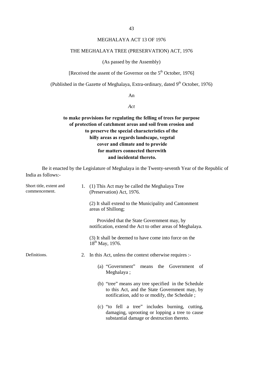#### MEGHALAYA ACT 13 OF 1976

#### THE MEGHALAYA TREE (PRESERVATION) ACT, 1976

#### (As passed by the Assembly)

[Received the assent of the Governor on the  $5<sup>th</sup>$  October, 1976]

(Published in the Gazette of Meghalaya, Extra-ordinary, dated  $9<sup>th</sup>$  October, 1976)

An

*Act*

# **to make provisions for regulating the felling of trees for purpose of protection of catchment areas and soil from erosion and to preserve the special characteristics of the hilly areas as regards landscape, vegetal cover and climate and to provide for matters connected therewith and incidental thereto.**

Be it enacted by the Legislature of Meghalaya in the Twenty-seventh Year of the Republic of India as follows:-

| Short title, extent and<br>commencement. | 1. | (1) This Act may be called the Meghalaya Tree<br>(Preservation) Act, 1976.                                                                            |
|------------------------------------------|----|-------------------------------------------------------------------------------------------------------------------------------------------------------|
|                                          |    | (2) It shall extend to the Municipality and Cantonment<br>areas of Shillong;                                                                          |
|                                          |    | Provided that the State Government may, by<br>notification, extend the Act to other areas of Meghalaya.                                               |
|                                          |    | (3) It shall be deemed to have come into force on the<br>$18^{th}$ May, 1976.                                                                         |
| Definitions.                             |    | 2. In this Act, unless the context otherwise requires :-                                                                                              |
|                                          |    | (a) "Government"<br>means the Government<br>of<br>Meghalaya;                                                                                          |
|                                          |    | (b) "tree" means any tree specified in the Schedule<br>to this Act, and the State Government may, by<br>notification, add to or modify, the Schedule; |
|                                          |    | (c) "to fell a tree" includes burning, cutting,<br>damaging, uprooting or lopping a tree to cause<br>substantial damage or destruction thereto.       |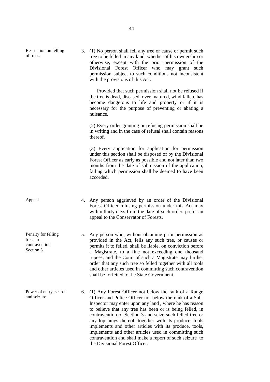Restriction on felling of trees.

3. (1) No person shall fell any tree or cause or permit such tree to be felled in any land, whether of his ownership or otherwise, except with the prior permission of the Divisional Forest Officer who may grant such permission subject to such conditions not inconsistent with the provisions of this Act.

 Provided that such permission shall not be refused if the tree is dead, diseased, over-matured, wind fallen, has become dangerous to life and property or if it is necessary for the purpose of preventing or abating a nuisance.

(2) Every order granting or refusing permission shall be in writing and in the case of refusal shall contain reasons thereof.

(3) Every application for application for permission under this section shall be disposed of by the Divisional Forest Officer as early as possible and not later than two months from the date of submission of the application, failing which permission shall be deemed to have been accorded.

trees in contravention Section 3.

Penalty for felling

- Appeal. 4. Any person aggrieved by an order of the Divisional Forest Officer refusing permission under this Act may within thirty days from the date of such order, prefer an appeal to the Conservator of Forests.
	- 5. Any person who, without obtaining prior permission as provided in the Act, fells any such tree, or causes or permits it to felled, shall be liable, on conviction before a Magistrate, to a fine not exceeding one thousand rupees; and the Court of such a Magistrate may further order that any such tree so felled together with all tools and other articles used in committing such contravention shall be forfeited tot he State Government.
- Power of entry, search and seizure. 6. (1) Any Forest Officer not below the rank of a Range Officer and Police Officer not below the rank of a Sub-Inspector may enter upon any land , where he has reason to believe that any tree has been or is being felled, in contravention of Section 3 and seize such felled tree or any lop pings thereof, together with its produce, tools implements and other articles with its produce, tools, implements and other articles used in committing such contravention and shall make a report of such seizure to the Divisional Forest Officer.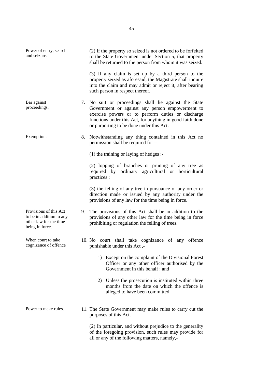| Power of entry, search<br>and seizure.                                                          |    | (2) If the property so seized is not ordered to be forfeited<br>to the State Government under Section 5, that property<br>shall be returned to the person from whom it was seized.                                                                                     |
|-------------------------------------------------------------------------------------------------|----|------------------------------------------------------------------------------------------------------------------------------------------------------------------------------------------------------------------------------------------------------------------------|
|                                                                                                 |    | (3) If any claim is set up by a third person to the<br>property seized as aforesaid, the Magistrate shall inquire<br>into the claim and may admit or reject it, after bearing<br>such person in respect thereof.                                                       |
| Bar against<br>proceedings.                                                                     |    | 7. No suit or proceedings shall lie against the State<br>Government or against any person empowerment to<br>exercise powers or to perform duties or discharge<br>functions under this Act, for anything in good faith done<br>or purporting to be done under this Act. |
| Exemption.                                                                                      | 8. | Notwithstanding any thing contained in this Act no<br>permission shall be required for -                                                                                                                                                                               |
|                                                                                                 |    | $(1)$ the training or laying of hedges :-                                                                                                                                                                                                                              |
|                                                                                                 |    | (2) lopping of branches or pruning of any tree as<br>required by ordinary agricultural or horticultural<br>practices;                                                                                                                                                  |
|                                                                                                 |    | (3) the felling of any tree in pursuance of any order or<br>direction made or issued by any authority under the<br>provisions of any law for the time being in force.                                                                                                  |
| Provisions of this Act<br>to be in addition to any<br>other law for the time<br>being in force. | 9. | The provisions of this Act shall be in addition to the<br>provisions of any other law for the time being in force<br>prohibiting or regulation the felling of trees.                                                                                                   |
| When court to take<br>cognizance of offence                                                     |    | 10. No court shall take cognizance of any<br>offence<br>punishable under this Act,-                                                                                                                                                                                    |
|                                                                                                 |    | 1) Except on the complaint of the Divisional Forest<br>Officer or any other officer authorised by the<br>Government in this behalf; and                                                                                                                                |
|                                                                                                 |    | 2) Unless the prosecution is instituted within three<br>months from the date on which the offence is<br>alleged to have been committed.                                                                                                                                |
| Power to make rules.                                                                            |    | 11. The State Government may make rules to carry cut the<br>purposes of this Act.                                                                                                                                                                                      |
|                                                                                                 |    | (2) In particular, and without prejudice to the generality<br>of the foregoing provision, such rules may provide for<br>all or any of the following matters, namely,-                                                                                                  |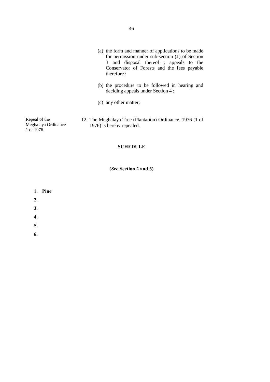- (a) the form and manner of applications to be made for permission under sub-section (1) of Section 3 and disposal thereof ; appeals to the Conservator of Forests and the fees payable therefore ;
- (b) the procedure to be followed in hearing and deciding appeals under Section 4 ;
- (c) any other matter;
- 12. The Meghalaya Tree (Plantation) Ordinance, 1976 (1 of 1976) is hereby repealed.

**SCHEDULE**

**(***See* **Section 2 and 3)**

- **1. Pine**
- **2.**

Repeal of the

1 of 1976.

Meghalaya Ordinance

- **3.**
- **4.**
- **5.**
- **6.**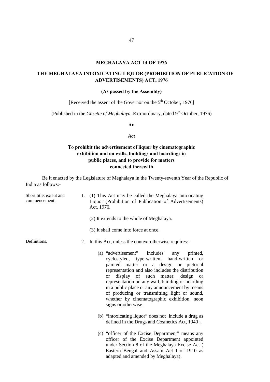#### **MEGHALAYA ACT 14 OF 1976**

# **THE MEGHALAYA INTOXICATING LIQUOR (PROHIBITION OF PUBLICATION OF ADVERTISEMENTS) ACT, 1976**

#### **(As passed by the Assembly)**

[Received the assent of the Governor on the  $5<sup>th</sup>$  October, 1976]

(Published in the *Gazette of Meghalaya*, Extraordinary, dated 9<sup>th</sup> October, 1976)

**An**

#### *Act*

# **To prohibit the advertisement of liquor by cinematographic exhibition and on walls, buildings and hoardings in public places, and to provide for matters connected therewith**

Be it enacted by the Legislature of Meghalaya in the Twenty-seventh Year of the Republic of India as follows:-

| Short title, extent and<br>commencement. |    | 1. (1) This Act may be called the Meghalaya Intoxicating<br>Liquor (Prohibition of Publication of Advertisements)<br>Act, 1976.                                                                                                                                                                                                                                                                                                                                                                  |
|------------------------------------------|----|--------------------------------------------------------------------------------------------------------------------------------------------------------------------------------------------------------------------------------------------------------------------------------------------------------------------------------------------------------------------------------------------------------------------------------------------------------------------------------------------------|
|                                          |    | (2) It extends to the whole of Meghalaya.                                                                                                                                                                                                                                                                                                                                                                                                                                                        |
|                                          |    | (3) It shall come into force at once.                                                                                                                                                                                                                                                                                                                                                                                                                                                            |
| Definitions.                             | 2. | In this Act, unless the context otherwise requires:-                                                                                                                                                                                                                                                                                                                                                                                                                                             |
|                                          |    | (a) "advertisement" includes<br>any printed,<br>cyclostyled, type-written, hand-written<br><b>or</b><br>painted matter or a design or pictorial<br>representation and also includes the distribution<br>display of such matter, design<br><sub>or</sub><br><b>or</b><br>representation on any wall, building or hoarding<br>in a public place or any announcement by means<br>of producing or transmitting light or sound,<br>whether by cinematographic exhibition, neon<br>signs or otherwise; |
|                                          |    | (b) "intoxicating liquor" does not include a drug as<br>defined in the Drugs and Cosmetics Act, 1940;                                                                                                                                                                                                                                                                                                                                                                                            |
|                                          |    | (c) "officer of the Excise Department" means any<br>officer of the Excise Department appointed<br>under Section 8 of the Meghalaya Excise Act (<br>Eastern Bengal and Assam Act I of 1910 as<br>adapted and amended by Meghalaya).                                                                                                                                                                                                                                                               |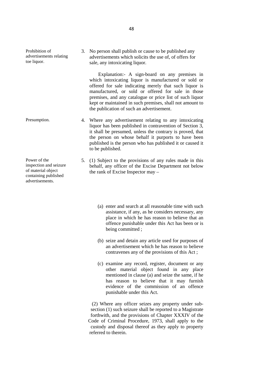Prohibition of advertisements relating toe liquor.

Power of the inspection and seizure of material object containing published

advertisements.

3. No person shall publish or cause to be published any advertisements which solicits the use of, of offers for sale, any intoxicating liquor.

 Explanation:- A sign-board on any premises in which intoxicating liquor is manufactured or sold or offered for sale indicating merely that such liquor is manufactured, or sold or offered for sale in those premises, and any catalogue or price list of such liquor kept or maintained in such premises, shall not amount to the publication of such an advertisement.

- Presumption. 4. Where any advertisement relating to any intoxicating liquor has been published in contravention of Section 3, it shall be presumed, unless the contrary is proved, that the person on whose behalf it purports to have been published is the person who has published it or caused it to be published.
	- 5. (1) Subject to the provisions of any rules made in this behalf, any officer of the Excise Department not below the rank of Excise Inspector may –
		- (a) enter and search at all reasonable time with such assistance, if any, as he considers necessary, any place in which he has reason to believe that an offence punishable under this Act has been or is being committed ;
		- (b) seize and detain any article used for purposes of an advertisement which he has reason to believe contravenes any of the provisions of this Act ;
		- (c) examine any record, register, document or any other material object found in any place mentioned in clause (a) and seize the same, if he has reason to believe that it may furnish evidence of the commission of an offence punishable under this Act.

 (2) Where any officer seizes any property under sub section (1) such seizure shall be reported to a Magistrate forthwith, and the provisions of Chapter XXXIV of the Code of Criminal Procedure, 1973, shall apply to the custody and disposal thereof as they apply to property referred to therein.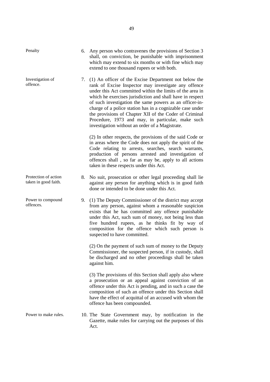| Penalty                                      | 6. | Any person who contravenes the provisions of Section 3<br>shall, on conviction, be punishable with imprisonment<br>which may extend to six months or with fine which may<br>extend to one thousand rupees or with both.                                                                                                                                                                                                                                                                                                           |
|----------------------------------------------|----|-----------------------------------------------------------------------------------------------------------------------------------------------------------------------------------------------------------------------------------------------------------------------------------------------------------------------------------------------------------------------------------------------------------------------------------------------------------------------------------------------------------------------------------|
| Investigation of<br>offence.                 | 7. | (1) An officer of the Excise Department not below the<br>rank of Excise Inspector may investigate any offence<br>under this Act committed within the limits of the area in<br>which he exercises jurisdiction and shall have in respect<br>of such investigation the same powers as an officer-in-<br>charge of a police station has in a cognizable case under<br>the provisions of Chapter XII of the Coder of Criminal<br>Procedure, 1973 and may, in particular, make such<br>investigation without an order of a Magistrate. |
|                                              |    | (2) In other respects, the provisions of the said Code or<br>in areas where the Code does not apply the spirit of the<br>Code relating to arrests, searches, search warrants,<br>production of persons arrested and investigation of<br>offences shall, so far as may be, apply to all actions<br>taken in these respects under this Act.                                                                                                                                                                                         |
| Protection of action<br>taken in good faith. | 8. | No suit, prosecution or other legal proceeding shall lie<br>against any person for anything which is in good faith<br>done or intended to be done under this Act.                                                                                                                                                                                                                                                                                                                                                                 |
| Power to compound<br>offences.               |    | 9. (1) The Deputy Commissioner of the district may accept<br>from any person, against whom a reasonable suspicion<br>exists that he has committed any offence punishable<br>under this Act, such sum of money, not being less than<br>five hundred rupees, as he thinks fit by way of<br>composition for the offence which such person is<br>suspected to have committed.                                                                                                                                                         |
|                                              |    | (2) On the payment of such sum of money to the Deputy<br>Commissioner, the suspected person, if in custody, shall<br>be discharged and no other proceedings shall be taken<br>against him.                                                                                                                                                                                                                                                                                                                                        |
|                                              |    | (3) The provisions of this Section shall apply also where<br>a prosecution or an appeal against conviction of an<br>offence under this Act is pending, and in such a case the<br>composition of such an offence under this Section shall<br>have the effect of acquittal of an accused with whom the<br>offence has been compounded.                                                                                                                                                                                              |
| Power to make rules.                         |    | 10. The State Government may, by notification in the<br>Gazette, make rules for carrying out the purposes of this<br>Act.                                                                                                                                                                                                                                                                                                                                                                                                         |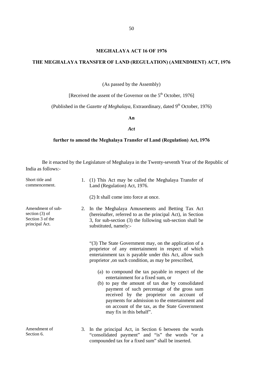#### **MEGHALAYA ACT 16 OF 1976**

#### **THE MEGHALAYA TRANSFER OF LAND (REGULATION) (AMENDMENT) ACT, 1976**

(As passed by the Assembly)

[Received the assent of the Governor on the 5<sup>th</sup> October, 1976]

(Published in the *Gazette of Meghalaya*, Extraordinary, dated 9<sup>th</sup> October, 1976)

**An**

*Act*

#### **further to amend the Meghalaya Transfer of Land (Regulation) Act, 1976**

Be it enacted by the Legislature of Meghalaya in the Twenty-seventh Year of the Republic of India as follows:-

| Short title and<br>commencement.                                            |    | 1. (1) This Act may be called the Meghalaya Transfer of<br>Land (Regulation) Act, 1976.                                                                                                                                                                                                                                                                                |
|-----------------------------------------------------------------------------|----|------------------------------------------------------------------------------------------------------------------------------------------------------------------------------------------------------------------------------------------------------------------------------------------------------------------------------------------------------------------------|
|                                                                             |    | (2) It shall come into force at once.                                                                                                                                                                                                                                                                                                                                  |
| Amendment of sub-<br>section $(3)$ of<br>Section 3 of the<br>principal Act. |    | 2. In the Meghalaya Amusements and Betting Tax Act<br>(hereinafter, referred to as the principal Act), in Section<br>3, for sub-section (3) the following sub-section shall be<br>substituted, namely:-                                                                                                                                                                |
|                                                                             |    | "(3) The State Government may, on the application of a<br>proprietor of any entertainment in respect of which<br>entertainment tax is payable under this Act, allow such<br>proprietor ,on such condition, as may be prescribed,                                                                                                                                       |
|                                                                             |    | (a) to compound the tax payable in respect of the<br>entertainment for a fixed sum, or<br>(b) to pay the amount of tax due by consolidated<br>payment of such percentage of the gross sum<br>received by the proprietor on account of<br>payments for admission to the entertainment and<br>on account of the tax, as the State Government<br>may fix in this behalf". |
| Amendment of<br>Section 6.                                                  | 3. | In the principal Act, in Section 6 between the words<br>"consolidated payment" and "is" the words "or a<br>compounded tax for a fixed sum" shall be inserted.                                                                                                                                                                                                          |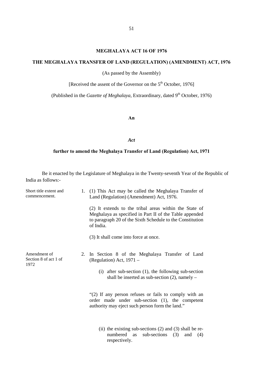#### **MEGHALAYA ACT 16 OF 1976**

# **THE MEGHALAYA TRANSFER OF LAND (REGULATION) (AMENDMENT) ACT, 1976**

(As passed by the Assembly)

[Received the assent of the Governor on the 5<sup>th</sup> October, 1976]

(Published in the *Gazette of Meghalaya*, Extraordinary, dated 9<sup>th</sup> October, 1976)

#### **An**

#### *Act*

#### **further to amend the Meghalaya Transfer of Land (Regulation) Act, 1971**

Be it enacted by the Legislature of Meghalaya in the Twenty-seventh Year of the Republic of India as follows:-

| Short title extent and<br>commencement.       |    | 1. (1) This Act may be called the Meghalaya Transfer of<br>Land (Regulation) (Amendment) Act, 1976.                                                                                          |
|-----------------------------------------------|----|----------------------------------------------------------------------------------------------------------------------------------------------------------------------------------------------|
|                                               |    | (2) It extends to the tribal areas within the State of<br>Meghalaya as specified in Part II of the Table appended<br>to paragraph 20 of the Sixth Schedule to the Constitution<br>of India.  |
|                                               |    | (3) It shall come into force at once.                                                                                                                                                        |
| Amendment of<br>Section 8 of act 1 of<br>1972 | 2. | In Section 8 of the Meghalaya Transfer of Land<br>(Regulation) Act, 1971 –<br>$(i)$ after sub-section $(1)$ , the following sub-section<br>shall be inserted as sub-section $(2)$ , namely – |
|                                               |    | "(2) If any person refuses or fails to comply with an<br>order made under sub-section (1), the competent<br>authority may eject such person form the land."                                  |
|                                               |    | (ii) the existing sub-sections $(2)$ and $(3)$ shall be re-<br>numbered<br>sub-sections<br>(3)<br>as<br>and<br>(4)<br>respectively.                                                          |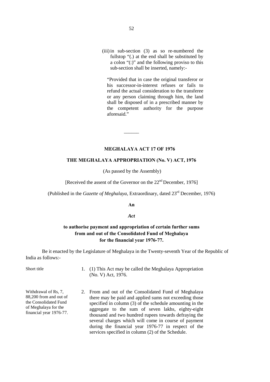(iii)in sub-section (3) as so re-numbered the fullstop "(.) at the end shall be substituted by a colon "(:)" and the following proviso to this sub-section shall be inserted, namely:-

"Provided that in case the original transferor or his successor-in-interest refuses or fails to refund the actual consideration to the transferee or any person claiming through him, the land shall be disposed of in a prescribed manner by the competent authority for the purpose aforesaid<sup>3</sup>

#### **MEGHALAYA ACT 17 OF 1976**

#### **THE MEGHALAYA APPROPRIATION (No. V) ACT, 1976**

 $\overline{\phantom{a}}$ 

(As passed by the Assembly)

[Received the assent of the Governor on the 22<sup>nd</sup> December, 1976]

(Published in the *Gazette of Meghalaya*, Extraordinary, dated 23rd December, 1976)

#### **An**

#### *Act*

# **to authorise payment and appropriation of certain further sums from and out of the Consolidated Fund of Meghalaya for the financial year 1976-77.**

Be it enacted by the Legislature of Meghalaya in the Twenty-seventh Year of the Republic of India as follows:-

Withdrawal of Rs, 7, 88,200 from and out of the Consolidated Fund of Meghalaya for the financial year 1976-77.

Short title 1. (1) This Act may be called the Meghalaya Appropriation (No. V) Act, 1976.

> 2. From and out of the Consolidated Fund of Meghalaya there may be paid and applied sums not exceeding those specified in column (3) of the schedule amounting in the aggregate to the sum of seven lakhs, eighty-eight thousand and two hundred rupees towards defraying the several charges which will come in course of payment during the financial year 1976-77 in respect of the services specified in column (2) of the Schedule.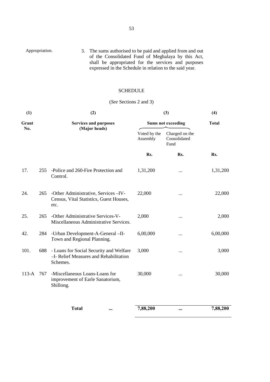| Appropriation. | 3. The sums authorised to be paid and applied from and out |
|----------------|------------------------------------------------------------|
|                | of the Consolidated Fund of Meghalaya by this Act,         |
|                | shall be appropriated for the services and purposes        |
|                | expressed in the Schedule in relation to the said year.    |

# **SCHEDULE**

# (*See* Sections 2 and 3)

| (1)          | (2) |                                                                                               | (3)                       | (4)                                    |              |
|--------------|-----|-----------------------------------------------------------------------------------------------|---------------------------|----------------------------------------|--------------|
| Grant<br>No. |     | <b>Services and purposes</b>                                                                  | <b>Sums not exceeding</b> |                                        | <b>Total</b> |
|              |     | (Major heads)                                                                                 | Voted by the<br>Assembly  | Charged on the<br>Consolidated<br>Fund |              |
|              |     |                                                                                               | Rs.                       | Rs.                                    | Rs.          |
| 17.          | 255 | -Police and 260-Fire Protection and<br>Control.                                               | 1,31,200                  |                                        | 1,31,200     |
| 24.          | 265 | -Other Administrative, Services - IV-<br>Census, Vital Statistics, Guest Houses,<br>etc.      | 22,000                    |                                        | 22,000       |
| 25.          | 265 | -Other Administrative Services-V-<br>Miscellaneous Administrative Services.                   | 2,000                     |                                        | 2,000        |
| 42.          | 284 | -Urban Development-A-General -II-<br>Town and Regional Planning.                              | 6,00,000                  |                                        | 6,00,000     |
| 101.         | 688 | - Loans for Social Security and Welfare<br>-I- Relief Measures and Rehabilitation<br>Schemes. | 3,000                     |                                        | 3,000        |
| $113-A$      | 767 | -Miscellaneous Loans-Loans for<br>improvement of Earle Sanatorium,<br>Shillong.               | 30,000                    |                                        | 30,000       |
|              |     | <b>Total</b><br>$\cdots$                                                                      | 7,88,200                  | $\cdots$                               | 7,88,200     |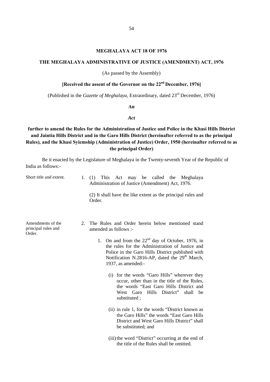#### **MEGHALAYA ACT 18 OF 1976**

#### **THE MEGHALAYA ADMINISTRATIVE OF JUSTICE (AMENDMENT) ACT, 1976**

(As passed by the Assembly)

# **[Received the assent of the Governor on the 22nd December, 1976]**

(Published in the *Gazette of Meghalaya*, Extraordinary, dated 23rd December, 1976)

**An** 

#### *Act*

# **further to amend the Rules for the Administration of Justice and Police in the Khasi Hills District and Jaintia Hills District and in the Garo Hills District (hereinafter referred to as the principal Rules), and the Khasi Syiemship (Administration of Justice) Order, 1950 (hereinafter referred to as the principal Order)**

Be it enacted by the Legislature of Meghalaya in the Twenty-seventh Year of the Republic of India as follows:-

| Short title and extent.                            | 1. | This Act may be called the Meghalaya<br>(1)<br>Administration of Justice (Amendment) Act, 1976.<br>(2) It shall have the like extent as the principal rules and<br>Order.                                                                                                                                                                                                                                                                                                                                                                                                                                                                                                                                                                                                                                      |
|----------------------------------------------------|----|----------------------------------------------------------------------------------------------------------------------------------------------------------------------------------------------------------------------------------------------------------------------------------------------------------------------------------------------------------------------------------------------------------------------------------------------------------------------------------------------------------------------------------------------------------------------------------------------------------------------------------------------------------------------------------------------------------------------------------------------------------------------------------------------------------------|
| Amendments of the<br>principal rules and<br>Order. | 2. | The Rules and Order herein below mentioned stand<br>amended as follows :-<br>1. On and from the $22nd$ day of October, 1976, in<br>the rules for the Administration of Justice and<br>Police in the Garo Hills District published with<br>Notification N.2816-AP, dated the 29 <sup>th</sup> March,<br>1937, as amended:-<br>(i) for the words "Garo Hills" wherever they<br>occur, other than in the title of the Rules,<br>the words "East Garo Hills District and<br>West Garo<br>Hills District"<br>shall<br>he<br>substituted;<br>(ii) in rule 1, for the words "District known as<br>the Garo Hills" the words "East Garo Hills"<br>District and West Garo Hills District" shall<br>be substituted; and<br>(iii) the word "District" occurring at the end of<br>the title of the Rules shall be omitted. |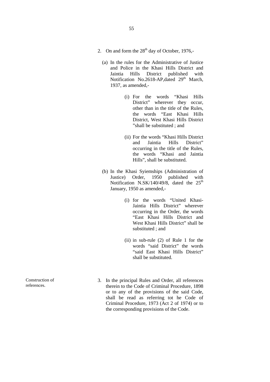- 2. On and form the  $28<sup>th</sup>$  day of October, 1976,-
	- (a) In the rules for the Administrative of Justice and Police in the Khasi Hills District and Jaintia Hills District published with Notification No.2618-AP, dated  $29<sup>th</sup>$  March, 1937, as amended,-
		- (i) For the words "Khasi Hills District" wherever they occur, other than in the title of the Rules, the words "East Khasi Hills District, West Khasi Hills District "shall be substituted ; and
		- (ii) For the words "Khasi Hills District and Jaintia Hills District" occurring in the title of the Rules, the words "Khasi and Jaintia Hills", shall be substituted.
	- (b) In the Khasi Syiemships (Administration of Justice) Order, 1950 published with Notification N.SK/140/49/8, dated the  $25<sup>th</sup>$ January, 1950 as amended,-
		- (i) for the words "United Khasi-Jaintia Hills District" wherever occurring in the Order, the words "East Khasi Hills District and West Khasi Hills District" shall be substituted ; and
		- (ii) in sub-rule (2) of Rule 1 for the words "said District" the words "said East Khasi Hills District" shall be substituted.
- 3. In the principal Rules and Order, all references therein to the Code of Criminal Procedure, 1898 or to any of the provisions of the said Code, shall be read as referring tot he Code of Criminal Procedure, 1973 (Act 2 of 1974) or to the corresponding provisions of the Code.

Construction of references.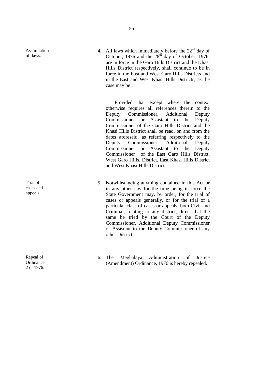Assimilation of laws.

Trial of cases and appeals.

Repeal of **Ordinance** 2 of 1976.

56

4. All laws which immediately before the  $22<sup>nd</sup>$  day of October, 1976 and the  $28<sup>th</sup>$  day of October, 1976, are in force in the Garo Hills District and the Khasi Hills District respectively, shall continue to be in force in the East and West Garo Hills Districts and in the East and West Khasi Hills Districts, as the case may be :

 Provided that except where the context otherwise requires all references therein to the Deputy Commissioner, Additional Deputy Commissioner or Assistant to the Deputy Commissioner of the Garo Hills District and the Khasi Hills District shall be read, on and from the dates aforesaid, as referring respectively to the Deputy Commissioner, Additional Deputy Commissioner or Assistant to the Deputy Commissioner of the East Garo Hills District, West Garo Hills, District, East Khasi Hills District and West Khasi Hills District.

- 5. Notwithstanding anything contained in this Act or in any other law for the time being in force the State Government may, by order, for the trial of cases or appeals generally, or for the trial of a particular class of cases or appeals, both Civil and Criminal, relating to any district, direct that the same be tried by the Court of the Deputy Commissioner, Additional Deputy Commissioner or Assistant to the Deputy Commissioner of any other District.
- 6. The Meghalaya Administration of Justice (Amendment) Ordinance, 1976 is hereby repealed.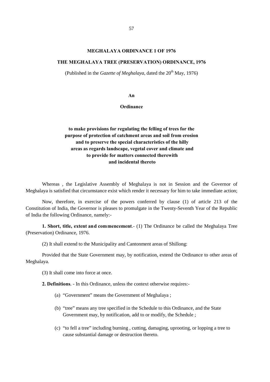#### **MEGHALAYA ORDINANCE 1 OF 1976**

#### **THE MEGHALAYA TREE (PRESERVATION) ORDINANCE, 1976**

(Published in the *Gazette of Meghalaya*, dated the  $20<sup>th</sup>$  May, 1976)

**An** 

**Ordinance**

# **to make provisions for regulating the felling of trees for the purpose of protection of catchment areas and soil from erosion and to preserve the special characteristics of the hilly areas as regards landscape, vegetal cover and climate and to provide for matters connected therewith and incidental thereto**

Whereas , the Legislative Assembly of Meghalaya is not in Session and the Governor of Meghalaya is satisfied that circumstance exist which render it necessary for him to take immediate action;

Now, therefore, in exercise of the powers conferred by clause (1) of article 213 of the Constitution of India, the Governor is pleases to promulgate in the Twenty-Seventh Year of the Republic of India the following Ordinance, namely:-

**1. Short, title, extent and commencement**.- (1) The Ordinance be called the Meghalaya Tree (Preservation) Ordinance, 1976.

(2) It shall extend to the Municipality and Cantonment areas of Shillong:

Provided that the State Government may, by notification, extend the Ordinance to other areas of Meghalaya.

(3) It shall come into force at once.

**2. Definitions**. - In this Ordinance, unless the context otherwise requires:-

- (a) "Government" means the Government of Meghalaya ;
- (b) "tree" means any tree specified in the Schedule to this Ordinance, and the State Government may, by notification, add to or modify, the Schedule ;
- (c) "to fell a tree" including burning , cutting, damaging, uprooting, or lopping a tree to cause substantial damage or destruction thereto.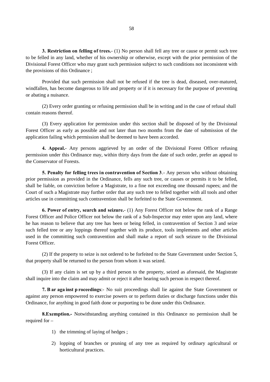**3. Restriction on felling of trees.**- (1) No person shall fell any tree or cause or permit such tree to be felled in any land, whether of his ownership or otherwise, except with the prior permission of the Divisional Forest Officer who may grant such permission subject to such conditions not inconsistent with the provisions of this Ordinance ;

Provided that such permission shall not be refused if the tree is dead, diseased, over-matured, windfallen, has become dangerous to life and property or if it is necessary for the purpose of preventing or abating a nuisance.

 (2) Every order granting or refusing permission shall be in writing and in the case of refusal shall contain reasons thereof.

(3) Every application for permission under this section shall be disposed of by the Divisional Forest Officer as early as possible and not later than two months from the date of submission of the application failing which permission shall be deemed to have been accorded.

**4. Appeal.**- Any persons aggrieved by an order of the Divisional Forest Officer refusing permission under this Ordinance may, within thirty days from the date of such order, prefer an appeal to the Conservator of Forests.

**5. Penalty for felling trees in contravention of Section 3**.- Any person who without obtaining prior permission as provided in the Ordinance, fells any such tree, or causes or permits it to be felled, shall be liable, on conviction before a Magistrate, to a fine not exceeding one thousand rupees; and the Court of such a Magistrate may further order that any such tree to felled together with all tools and other articles use in committing such contravention shall be forfeited to the State Government.

**6. Power of entry, search and seizure.**- (1) Any Forest Officer not below the rank of a Range Forest Officer and Police Officer not below the rank of a Sub-Inspector may enter upon any land, where he has reason to believe that any tree has been or being felled, in contravention of Section 3 and seize such felled tree or any loppings thereof together with its produce, tools implements and other articles used in the committing such contravention and shall make a report of such seizure to the Divisional Forest Officer.

(2) If the property to seize is not ordered to be forfeited to the State Government under Section 5, that property shall be returned to the person from whom it was seized.

(3) If any claim is set up by a third person to the property, seized as aforesaid, the Magistrate shall inquire into the claim and may admit or reject it after hearing such person in respect thereof.

**7. B ar aga inst p roceedings**:- No suit proceedings shall lie against the State Government or against any person empowered to exercise powers or to perform duties or discharge functions under this Ordinance, for anything in good faith done or purporting to be done under this Ordinance.

**8.Exemption.-** Notwithstanding anything contained in this Ordinance no permission shall be required for –

- 1) the trimming of laying of hedges ;
- 2) lopping of branches or pruning of any tree as required by ordinary agricultural or horticultural practices.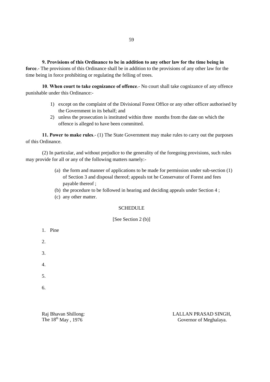**9. Provisions of this Ordinance to be in addition to any other law for the time being in force**.- The provisions of this Ordinance shall be in addition to the provisions of any other law for the time being in force prohibiting or regulating the felling of trees.

 **10**. **When court to take cognizance of offence**.- No court shall take cognizance of any offence punishable under this Ordinance:-

- 1) except on the complaint of the Divisional Forest Office or any other officer authorised by the Government in its behalf; and
- 2) unless the prosecution is instituted within three months from the date on which the offence is alleged to have been committed.

**11. Power to make rules**.- (1) The State Government may make rules to carry out the purposes of this Ordinance.

(2) In particular, and without prejudice to the generality of the foregoing provisions, such rules may provide for all or any of the following matters namely:-

- (a) the form and manner of applications to be made for permission under sub-section (1) of Section 3 and disposal thereof; appeals tot he Conservator of Forest and fees payable thereof ;
- (b) the procedure to be followed in hearing and deciding appeals under Section 4 ;
- (c) any other matter.

#### SCHEDULE<sub>.</sub>

[See Section 2 (b)]

1. Pine 2. 3. 4. 5. 6.

Raj Bhavan Shillong: LALLAN PRASAD SINGH,<br>The 18<sup>th</sup> May , 1976 Covernor of Meghalaya. Governor of Meghalaya.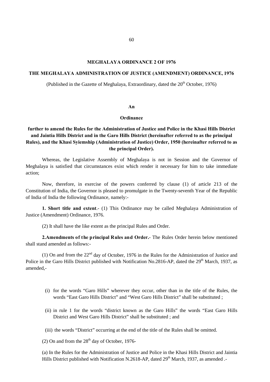#### **MEGHALAYA ORDINANCE 2 OF 1976**

# **THE MEGHALAYA ADMINISTRATION OF JUSTICE (AMENDMENT) ORDINANCE, 1976**

(Published in the Gazette of Meghalaya, Extraordinary, dated the  $20<sup>th</sup>$  October, 1976)

#### **An**

#### **Ordinance**

# **further to amend the Rules for the Administration of Justice and Police in the Khasi Hills District and Jaintia Hills District and in the Garo Hills District (hereinafter referred to as the principal Rules), and the Khasi Syiemship (Administration of Justice) Order, 1950 (hereinafter referred to as the principal Order).**

Whereas, the Legislative Assembly of Meghalaya is not in Session and the Governor of Meghalaya is satisfied that circumstances exist which render it necessary for him to take immediate action;

Now, therefore, in exercise of the powers conferred by clause (1) of article 213 of the Constitution of India, the Governor is pleased to promulgate in the Twenty-seventh Year of the Republic of India of India the following Ordinance, namely:-

**1. Short title and extent**.- (1) This Ordinance may be called Meghalaya Administration of Justice (Amendment) Ordinance, 1976.

(2) It shall have the like extent as the principal Rules and Order.

**2.Amendments of the principal Rules and Order.**- The Rules Order herein below mentioned shall stand amended as follows:-

(1) On and from the 22nd day of October, 1976 in the Rules for the Administration of Justice and Police in the Garo Hills District published with Notification No. 2816-AP, dated the 29<sup>th</sup> March, 1937, as amended,-

- (i) for the words "Garo Hills" wherever they occur, other than in the title of the Rules, the words "East Garo Hills District" and "West Garo Hills District" shall be substituted ;
- (ii) in rule 1 for the words "district known as the Garo Hills" the words "East Garo Hills District and West Garo Hills District" shall be substituted ; and
- (iii) the words "District" occurring at the end of the title of the Rules shall be omitted.

(2) On and from the  $28<sup>th</sup>$  day of October, 1976-

(a) In the Rules for the Administration of Justice and Police in the Khasi Hills District and Jaintia Hills District published with Notification N.2618-AP, dated  $29<sup>th</sup>$  March, 1937, as amended .-